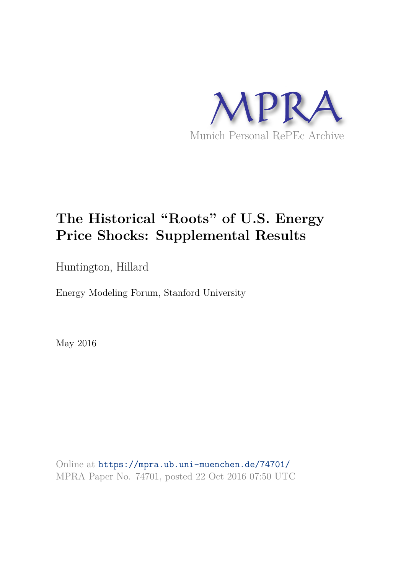

# **The Historical "Roots" of U.S. Energy Price Shocks: Supplemental Results**

Huntington, Hillard

Energy Modeling Forum, Stanford University

May 2016

Online at https://mpra.ub.uni-muenchen.de/74701/ MPRA Paper No. 74701, posted 22 Oct 2016 07:50 UTC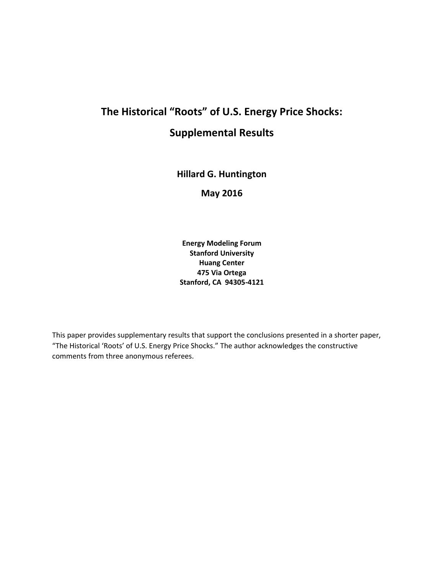# **The Historical "Roots" of U.S. Energy Price Shocks: Supplemental Results**

**Hillard G. Huntington** 

**May 2016**

**Energy Modeling Forum Stanford University Huang Center 475 Via Ortega Stanford, CA 94305-4121** 

This paper provides supplementary results that support the conclusions presented in a shorter paper, "The Historical 'Roots' of U.S. Energy Price Shocks." The author acknowledges the constructive comments from three anonymous referees.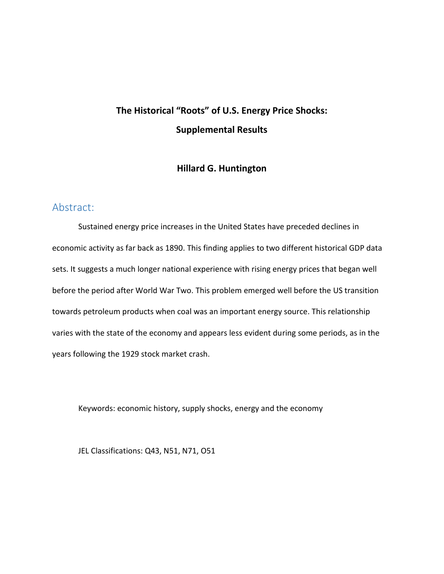## **The Historical "Roots" of U.S. Energy Price Shocks: Supplemental Results**

#### **Hillard G. Huntington**

#### Abstract:

Sustained energy price increases in the United States have preceded declines in economic activity as far back as 1890. This finding applies to two different historical GDP data sets. It suggests a much longer national experience with rising energy prices that began well before the period after World War Two. This problem emerged well before the US transition towards petroleum products when coal was an important energy source. This relationship varies with the state of the economy and appears less evident during some periods, as in the years following the 1929 stock market crash.

Keywords: economic history, supply shocks, energy and the economy

JEL Classifications: Q43, N51, N71, O51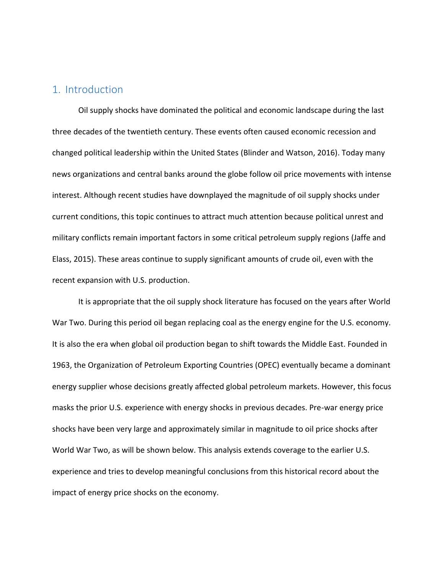#### 1. Introduction

Oil supply shocks have dominated the political and economic landscape during the last three decades of the twentieth century. These events often caused economic recession and changed political leadership within the United States (Blinder and Watson, 2016). Today many news organizations and central banks around the globe follow oil price movements with intense interest. Although recent studies have downplayed the magnitude of oil supply shocks under current conditions, this topic continues to attract much attention because political unrest and military conflicts remain important factors in some critical petroleum supply regions (Jaffe and Elass, 2015). These areas continue to supply significant amounts of crude oil, even with the recent expansion with U.S. production.

It is appropriate that the oil supply shock literature has focused on the years after World War Two. During this period oil began replacing coal as the energy engine for the U.S. economy. It is also the era when global oil production began to shift towards the Middle East. Founded in 1963, the Organization of Petroleum Exporting Countries (OPEC) eventually became a dominant energy supplier whose decisions greatly affected global petroleum markets. However, this focus masks the prior U.S. experience with energy shocks in previous decades. Pre-war energy price shocks have been very large and approximately similar in magnitude to oil price shocks after World War Two, as will be shown below. This analysis extends coverage to the earlier U.S. experience and tries to develop meaningful conclusions from this historical record about the impact of energy price shocks on the economy.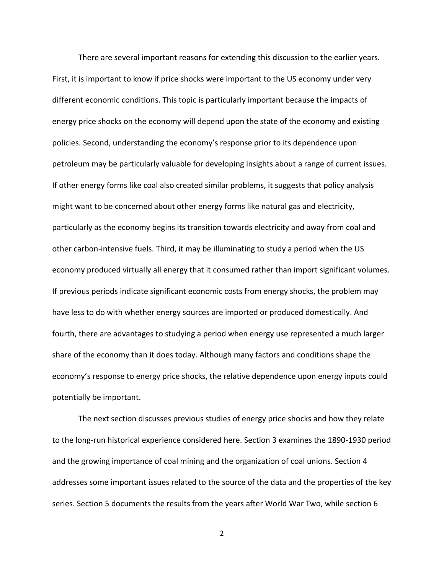There are several important reasons for extending this discussion to the earlier years. First, it is important to know if price shocks were important to the US economy under very different economic conditions. This topic is particularly important because the impacts of energy price shocks on the economy will depend upon the state of the economy and existing policies. Second, understanding the economy's response prior to its dependence upon petroleum may be particularly valuable for developing insights about a range of current issues. If other energy forms like coal also created similar problems, it suggests that policy analysis might want to be concerned about other energy forms like natural gas and electricity, particularly as the economy begins its transition towards electricity and away from coal and other carbon-intensive fuels. Third, it may be illuminating to study a period when the US economy produced virtually all energy that it consumed rather than import significant volumes. If previous periods indicate significant economic costs from energy shocks, the problem may have less to do with whether energy sources are imported or produced domestically. And fourth, there are advantages to studying a period when energy use represented a much larger share of the economy than it does today. Although many factors and conditions shape the economy's response to energy price shocks, the relative dependence upon energy inputs could potentially be important.

The next section discusses previous studies of energy price shocks and how they relate to the long-run historical experience considered here. Section 3 examines the 1890-1930 period and the growing importance of coal mining and the organization of coal unions. Section 4 addresses some important issues related to the source of the data and the properties of the key series. Section 5 documents the results from the years after World War Two, while section 6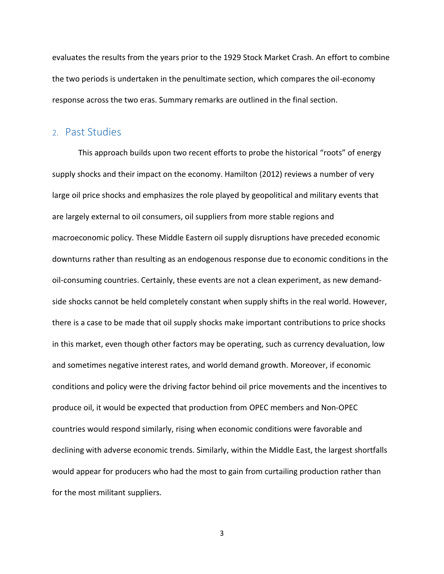evaluates the results from the years prior to the 1929 Stock Market Crash. An effort to combine the two periods is undertaken in the penultimate section, which compares the oil-economy response across the two eras. Summary remarks are outlined in the final section.

#### 2. Past Studies

This approach builds upon two recent efforts to probe the historical "roots" of energy supply shocks and their impact on the economy. Hamilton (2012) reviews a number of very large oil price shocks and emphasizes the role played by geopolitical and military events that are largely external to oil consumers, oil suppliers from more stable regions and macroeconomic policy. These Middle Eastern oil supply disruptions have preceded economic downturns rather than resulting as an endogenous response due to economic conditions in the oil-consuming countries. Certainly, these events are not a clean experiment, as new demandside shocks cannot be held completely constant when supply shifts in the real world. However, there is a case to be made that oil supply shocks make important contributions to price shocks in this market, even though other factors may be operating, such as currency devaluation, low and sometimes negative interest rates, and world demand growth. Moreover, if economic conditions and policy were the driving factor behind oil price movements and the incentives to produce oil, it would be expected that production from OPEC members and Non-OPEC countries would respond similarly, rising when economic conditions were favorable and declining with adverse economic trends. Similarly, within the Middle East, the largest shortfalls would appear for producers who had the most to gain from curtailing production rather than for the most militant suppliers.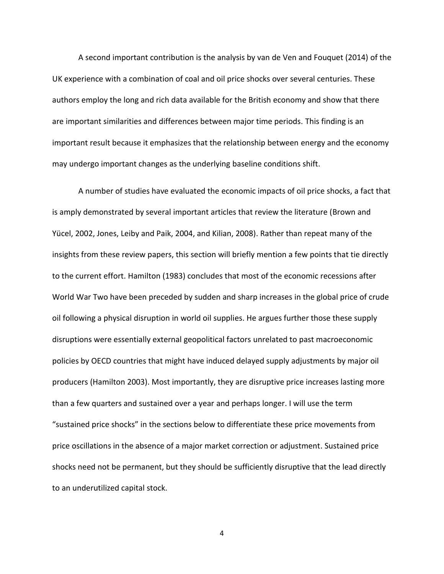A second important contribution is the analysis by van de Ven and Fouquet (2014) of the UK experience with a combination of coal and oil price shocks over several centuries. These authors employ the long and rich data available for the British economy and show that there are important similarities and differences between major time periods. This finding is an important result because it emphasizes that the relationship between energy and the economy may undergo important changes as the underlying baseline conditions shift.

A number of studies have evaluated the economic impacts of oil price shocks, a fact that is amply demonstrated by several important articles that review the literature (Brown and Yücel, 2002, Jones, Leiby and Paik, 2004, and Kilian, 2008). Rather than repeat many of the insights from these review papers, this section will briefly mention a few points that tie directly to the current effort. Hamilton (1983) concludes that most of the economic recessions after World War Two have been preceded by sudden and sharp increases in the global price of crude oil following a physical disruption in world oil supplies. He argues further those these supply disruptions were essentially external geopolitical factors unrelated to past macroeconomic policies by OECD countries that might have induced delayed supply adjustments by major oil producers (Hamilton 2003). Most importantly, they are disruptive price increases lasting more than a few quarters and sustained over a year and perhaps longer. I will use the term "sustained price shocks" in the sections below to differentiate these price movements from price oscillations in the absence of a major market correction or adjustment. Sustained price shocks need not be permanent, but they should be sufficiently disruptive that the lead directly to an underutilized capital stock.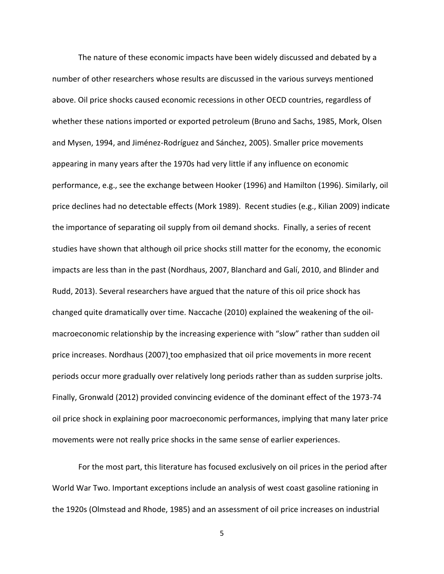The nature of these economic impacts have been widely discussed and debated by a number of other researchers whose results are discussed in the various surveys mentioned above. Oil price shocks caused economic recessions in other OECD countries, regardless of whether these nations imported or exported petroleum (Bruno and Sachs, 1985, Mork, Olsen and Mysen, 1994, and Jiménez-Rodríguez and Sánchez, 2005). Smaller price movements appearing in many years after the 1970s had very little if any influence on economic performance, e.g., see the exchange between Hooker (1996) and Hamilton (1996). Similarly, oil price declines had no detectable effects (Mork 1989). Recent studies (e.g., Kilian 2009) indicate the importance of separating oil supply from oil demand shocks. Finally, a series of recent studies have shown that although oil price shocks still matter for the economy, the economic impacts are less than in the past (Nordhaus, 2007, Blanchard and Galí, 2010, and Blinder and Rudd, 2013). Several researchers have argued that the nature of this oil price shock has changed quite dramatically over time. [Naccache](http://www.scopus.com/authid/detail.url?origin=resultslist&authorId=35272868600&zone=) (2010) explained the weakening of the oilmacroeconomic relationship by the increasing experience with "slow" rather than sudden oil price increases. Nordhaus (2007) too emphasized that oil price movements in more recent periods occur more gradually over relatively long periods rather than as sudden surprise jolts. Finally, Gronwald (2012) provided convincing evidence of the dominant effect of the 1973-74 oil price shock in explaining poor macroeconomic performances, implying that many later price movements were not really price shocks in the same sense of earlier experiences.

For the most part, this literature has focused exclusively on oil prices in the period after World War Two. Important exceptions include an analysis of west coast gasoline rationing in the 1920s (Olmstead and Rhode, 1985) and an assessment of oil price increases on industrial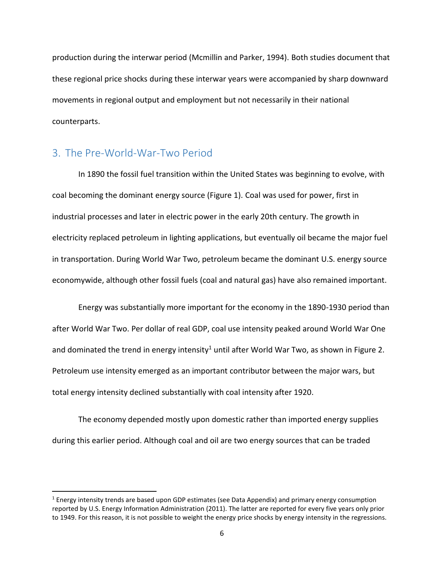production during the interwar period (Mcmillin and Parker, 1994). Both studies document that these regional price shocks during these interwar years were accompanied by sharp downward movements in regional output and employment but not necessarily in their national counterparts.

#### 3. The Pre-World-War-Two Period

l

In 1890 the fossil fuel transition within the United States was beginning to evolve, with coal becoming the dominant energy source (Figure 1). Coal was used for power, first in industrial processes and later in electric power in the early 20th century. The growth in electricity replaced petroleum in lighting applications, but eventually oil became the major fuel in transportation. During World War Two, petroleum became the dominant U.S. energy source economywide, although other fossil fuels (coal and natural gas) have also remained important.

Energy was substantially more important for the economy in the 1890-1930 period than after World War Two. Per dollar of real GDP, coal use intensity peaked around World War One and dominated the trend in energy intensity<sup>1</sup> until after World War Two, as shown in Figure 2. Petroleum use intensity emerged as an important contributor between the major wars, but total energy intensity declined substantially with coal intensity after 1920.

The economy depended mostly upon domestic rather than imported energy supplies during this earlier period. Although coal and oil are two energy sources that can be traded

<sup>&</sup>lt;sup>1</sup> Energy intensity trends are based upon GDP estimates (see Data Appendix) and primary energy consumption reported by U.S. Energy Information Administration (2011). The latter are reported for every five years only prior to 1949. For this reason, it is not possible to weight the energy price shocks by energy intensity in the regressions.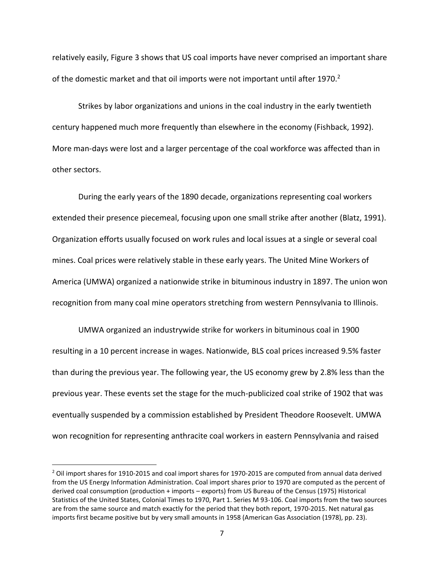relatively easily, Figure 3 shows that US coal imports have never comprised an important share of the domestic market and that oil imports were not important until after 1970.<sup>2</sup>

Strikes by labor organizations and unions in the coal industry in the early twentieth century happened much more frequently than elsewhere in the economy (Fishback, 1992). More man-days were lost and a larger percentage of the coal workforce was affected than in other sectors.

During the early years of the 1890 decade, organizations representing coal workers extended their presence piecemeal, focusing upon one small strike after another (Blatz, 1991). Organization efforts usually focused on work rules and local issues at a single or several coal mines. Coal prices were relatively stable in these early years. The United Mine Workers of America (UMWA) organized a nationwide strike in bituminous industry in 1897. The union won recognition from many coal mine operators stretching from western Pennsylvania to Illinois.

UMWA organized an industrywide strike for workers in bituminous coal in 1900 resulting in a 10 percent increase in wages. Nationwide, BLS coal prices increased 9.5% faster than during the previous year. The following year, the US economy grew by 2.8% less than the previous year. These events set the stage for the much-publicized coal strike of 1902 that was eventually suspended by a commission established by President Theodore Roosevelt. UMWA won recognition for representing anthracite coal workers in eastern Pennsylvania and raised

 $\overline{a}$ 

<sup>&</sup>lt;sup>2</sup> Oil import shares for 1910-2015 and coal import shares for 1970-2015 are computed from annual data derived from the US Energy Information Administration. Coal import shares prior to 1970 are computed as the percent of derived coal consumption (production + imports – exports) from US Bureau of the Census (1975) Historical Statistics of the United States, Colonial Times to 1970, Part 1. Series M 93-106. Coal imports from the two sources are from the same source and match exactly for the period that they both report, 1970-2015. Net natural gas imports first became positive but by very small amounts in 1958 (American Gas Association (1978), pp. 23).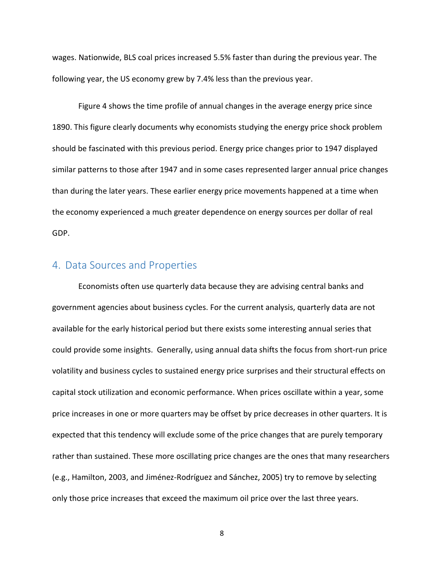wages. Nationwide, BLS coal prices increased 5.5% faster than during the previous year. The following year, the US economy grew by 7.4% less than the previous year.

Figure 4 shows the time profile of annual changes in the average energy price since 1890. This figure clearly documents why economists studying the energy price shock problem should be fascinated with this previous period. Energy price changes prior to 1947 displayed similar patterns to those after 1947 and in some cases represented larger annual price changes than during the later years. These earlier energy price movements happened at a time when the economy experienced a much greater dependence on energy sources per dollar of real GDP.

### 4. Data Sources and Properties

Economists often use quarterly data because they are advising central banks and government agencies about business cycles. For the current analysis, quarterly data are not available for the early historical period but there exists some interesting annual series that could provide some insights. Generally, using annual data shifts the focus from short-run price volatility and business cycles to sustained energy price surprises and their structural effects on capital stock utilization and economic performance. When prices oscillate within a year, some price increases in one or more quarters may be offset by price decreases in other quarters. It is expected that this tendency will exclude some of the price changes that are purely temporary rather than sustained. These more oscillating price changes are the ones that many researchers (e.g., Hamilton, 2003, and Jiménez-Rodríguez and Sánchez, 2005) try to remove by selecting only those price increases that exceed the maximum oil price over the last three years.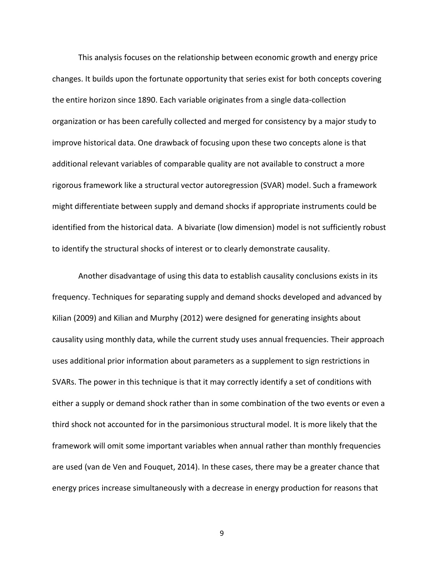This analysis focuses on the relationship between economic growth and energy price changes. It builds upon the fortunate opportunity that series exist for both concepts covering the entire horizon since 1890. Each variable originates from a single data-collection organization or has been carefully collected and merged for consistency by a major study to improve historical data. One drawback of focusing upon these two concepts alone is that additional relevant variables of comparable quality are not available to construct a more rigorous framework like a structural vector autoregression (SVAR) model. Such a framework might differentiate between supply and demand shocks if appropriate instruments could be identified from the historical data. A bivariate (low dimension) model is not sufficiently robust to identify the structural shocks of interest or to clearly demonstrate causality.

Another disadvantage of using this data to establish causality conclusions exists in its frequency. Techniques for separating supply and demand shocks developed and advanced by Kilian (2009) and Kilian and Murphy (2012) were designed for generating insights about causality using monthly data, while the current study uses annual frequencies. Their approach uses additional prior information about parameters as a supplement to sign restrictions in SVARs. The power in this technique is that it may correctly identify a set of conditions with either a supply or demand shock rather than in some combination of the two events or even a third shock not accounted for in the parsimonious structural model. It is more likely that the framework will omit some important variables when annual rather than monthly frequencies are used (van de Ven and Fouquet, 2014). In these cases, there may be a greater chance that energy prices increase simultaneously with a decrease in energy production for reasons that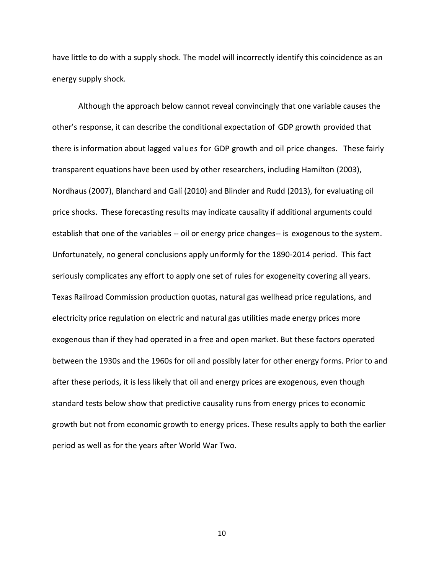have little to do with a supply shock. The model will incorrectly identify this coincidence as an energy supply shock.

Although the approach below cannot reveal convincingly that one variable causes the other's response, it can describe the conditional expectation of GDP growth provided that there is information about lagged values for GDP growth and oil price changes. These fairly transparent equations have been used by other researchers, including Hamilton (2003), Nordhaus (2007), Blanchard and Galí (2010) and Blinder and Rudd (2013), for evaluating oil price shocks. These forecasting results may indicate causality if additional arguments could establish that one of the variables -- oil or energy price changes-- is exogenous to the system. Unfortunately, no general conclusions apply uniformly for the 1890-2014 period. This fact seriously complicates any effort to apply one set of rules for exogeneity covering all years. Texas Railroad Commission production quotas, natural gas wellhead price regulations, and electricity price regulation on electric and natural gas utilities made energy prices more exogenous than if they had operated in a free and open market. But these factors operated between the 1930s and the 1960s for oil and possibly later for other energy forms. Prior to and after these periods, it is less likely that oil and energy prices are exogenous, even though standard tests below show that predictive causality runs from energy prices to economic growth but not from economic growth to energy prices. These results apply to both the earlier period as well as for the years after World War Two.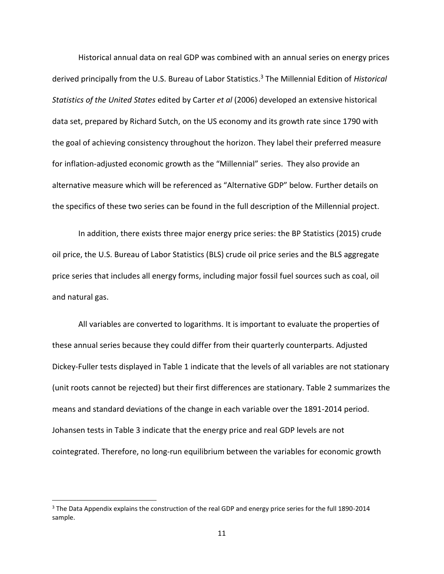Historical annual data on real GDP was combined with an annual series on energy prices derived principally from the U.S. Bureau of Labor Statistics.<sup>3</sup> The Millennial Edition of *Historical Statistics of the United States* edited by Carter *et al* (2006) developed an extensive historical data set, prepared by Richard Sutch, on the US economy and its growth rate since 1790 with the goal of achieving consistency throughout the horizon. They label their preferred measure for inflation-adjusted economic growth as the "Millennial" series. They also provide an alternative measure which will be referenced as "Alternative GDP" below. Further details on the specifics of these two series can be found in the full description of the Millennial project.

In addition, there exists three major energy price series: the BP Statistics (2015) crude oil price, the U.S. Bureau of Labor Statistics (BLS) crude oil price series and the BLS aggregate price series that includes all energy forms, including major fossil fuel sources such as coal, oil and natural gas.

All variables are converted to logarithms. It is important to evaluate the properties of these annual series because they could differ from their quarterly counterparts. Adjusted Dickey-Fuller tests displayed in Table 1 indicate that the levels of all variables are not stationary (unit roots cannot be rejected) but their first differences are stationary. Table 2 summarizes the means and standard deviations of the change in each variable over the 1891-2014 period. Johansen tests in Table 3 indicate that the energy price and real GDP levels are not cointegrated. Therefore, no long-run equilibrium between the variables for economic growth

 $\overline{\phantom{0}}$ 

<sup>&</sup>lt;sup>3</sup> The Data Appendix explains the construction of the real GDP and energy price series for the full 1890-2014 sample.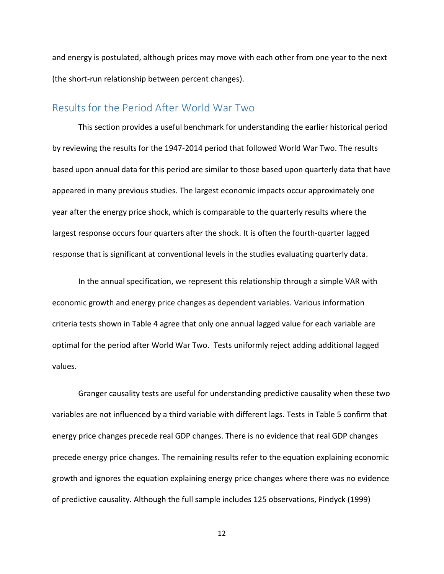and energy is postulated, although prices may move with each other from one year to the next (the short-run relationship between percent changes).

#### Results for the Period After World War Two

This section provides a useful benchmark for understanding the earlier historical period by reviewing the results for the 1947-2014 period that followed World War Two. The results based upon annual data for this period are similar to those based upon quarterly data that have appeared in many previous studies. The largest economic impacts occur approximately one year after the energy price shock, which is comparable to the quarterly results where the largest response occurs four quarters after the shock. It is often the fourth-quarter lagged response that is significant at conventional levels in the studies evaluating quarterly data.

In the annual specification, we represent this relationship through a simple VAR with economic growth and energy price changes as dependent variables. Various information criteria tests shown in Table 4 agree that only one annual lagged value for each variable are optimal for the period after World War Two. Tests uniformly reject adding additional lagged values.

Granger causality tests are useful for understanding predictive causality when these two variables are not influenced by a third variable with different lags. Tests in Table 5 confirm that energy price changes precede real GDP changes. There is no evidence that real GDP changes precede energy price changes. The remaining results refer to the equation explaining economic growth and ignores the equation explaining energy price changes where there was no evidence of predictive causality. Although the full sample includes 125 observations, Pindyck (1999)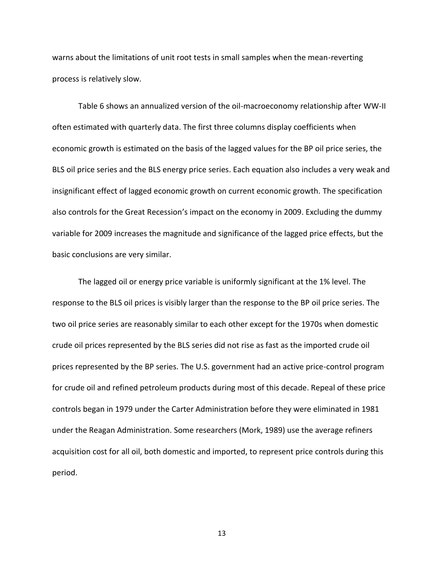warns about the limitations of unit root tests in small samples when the mean-reverting process is relatively slow.

Table 6 shows an annualized version of the oil-macroeconomy relationship after WW-II often estimated with quarterly data. The first three columns display coefficients when economic growth is estimated on the basis of the lagged values for the BP oil price series, the BLS oil price series and the BLS energy price series. Each equation also includes a very weak and insignificant effect of lagged economic growth on current economic growth. The specification also controls for the Great Recession's impact on the economy in 2009. Excluding the dummy variable for 2009 increases the magnitude and significance of the lagged price effects, but the basic conclusions are very similar.

The lagged oil or energy price variable is uniformly significant at the 1% level. The response to the BLS oil prices is visibly larger than the response to the BP oil price series. The two oil price series are reasonably similar to each other except for the 1970s when domestic crude oil prices represented by the BLS series did not rise as fast as the imported crude oil prices represented by the BP series. The U.S. government had an active price-control program for crude oil and refined petroleum products during most of this decade. Repeal of these price controls began in 1979 under the Carter Administration before they were eliminated in 1981 under the Reagan Administration. Some researchers (Mork, 1989) use the average refiners acquisition cost for all oil, both domestic and imported, to represent price controls during this period.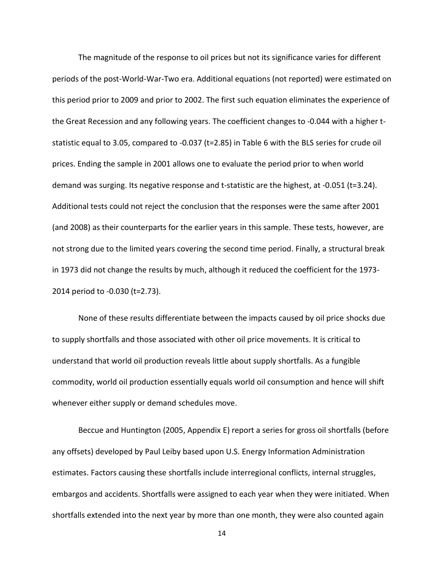The magnitude of the response to oil prices but not its significance varies for different periods of the post-World-War-Two era. Additional equations (not reported) were estimated on this period prior to 2009 and prior to 2002. The first such equation eliminates the experience of the Great Recession and any following years. The coefficient changes to -0.044 with a higher tstatistic equal to 3.05, compared to -0.037 (t=2.85) in Table 6 with the BLS series for crude oil prices. Ending the sample in 2001 allows one to evaluate the period prior to when world demand was surging. Its negative response and t-statistic are the highest, at -0.051 (t=3.24). Additional tests could not reject the conclusion that the responses were the same after 2001 (and 2008) as their counterparts for the earlier years in this sample. These tests, however, are not strong due to the limited years covering the second time period. Finally, a structural break in 1973 did not change the results by much, although it reduced the coefficient for the 1973- 2014 period to -0.030 (t=2.73).

None of these results differentiate between the impacts caused by oil price shocks due to supply shortfalls and those associated with other oil price movements. It is critical to understand that world oil production reveals little about supply shortfalls. As a fungible commodity, world oil production essentially equals world oil consumption and hence will shift whenever either supply or demand schedules move.

Beccue and Huntington (2005, Appendix E) report a series for gross oil shortfalls (before any offsets) developed by Paul Leiby based upon U.S. Energy Information Administration estimates. Factors causing these shortfalls include interregional conflicts, internal struggles, embargos and accidents. Shortfalls were assigned to each year when they were initiated. When shortfalls extended into the next year by more than one month, they were also counted again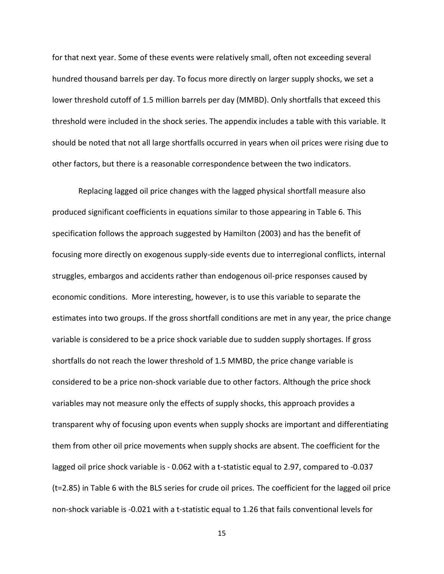for that next year. Some of these events were relatively small, often not exceeding several hundred thousand barrels per day. To focus more directly on larger supply shocks, we set a lower threshold cutoff of 1.5 million barrels per day (MMBD). Only shortfalls that exceed this threshold were included in the shock series. The appendix includes a table with this variable. It should be noted that not all large shortfalls occurred in years when oil prices were rising due to other factors, but there is a reasonable correspondence between the two indicators.

Replacing lagged oil price changes with the lagged physical shortfall measure also produced significant coefficients in equations similar to those appearing in Table 6. This specification follows the approach suggested by Hamilton (2003) and has the benefit of focusing more directly on exogenous supply-side events due to interregional conflicts, internal struggles, embargos and accidents rather than endogenous oil-price responses caused by economic conditions. More interesting, however, is to use this variable to separate the estimates into two groups. If the gross shortfall conditions are met in any year, the price change variable is considered to be a price shock variable due to sudden supply shortages. If gross shortfalls do not reach the lower threshold of 1.5 MMBD, the price change variable is considered to be a price non-shock variable due to other factors. Although the price shock variables may not measure only the effects of supply shocks, this approach provides a transparent why of focusing upon events when supply shocks are important and differentiating them from other oil price movements when supply shocks are absent. The coefficient for the lagged oil price shock variable is - 0.062 with a t-statistic equal to 2.97, compared to -0.037 (t=2.85) in Table 6 with the BLS series for crude oil prices. The coefficient for the lagged oil price non-shock variable is -0.021 with a t-statistic equal to 1.26 that fails conventional levels for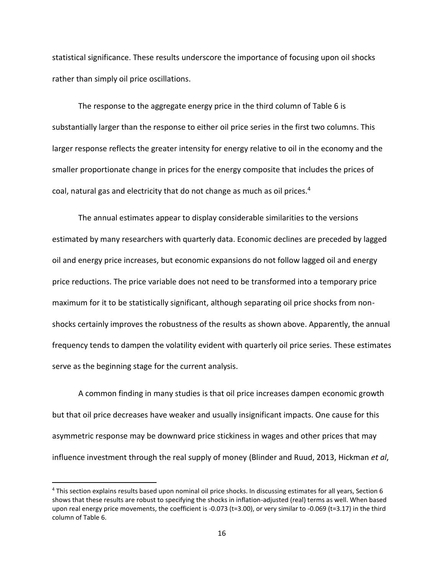statistical significance. These results underscore the importance of focusing upon oil shocks rather than simply oil price oscillations.

The response to the aggregate energy price in the third column of Table 6 is substantially larger than the response to either oil price series in the first two columns. This larger response reflects the greater intensity for energy relative to oil in the economy and the smaller proportionate change in prices for the energy composite that includes the prices of coal, natural gas and electricity that do not change as much as oil prices.<sup>4</sup>

The annual estimates appear to display considerable similarities to the versions estimated by many researchers with quarterly data. Economic declines are preceded by lagged oil and energy price increases, but economic expansions do not follow lagged oil and energy price reductions. The price variable does not need to be transformed into a temporary price maximum for it to be statistically significant, although separating oil price shocks from nonshocks certainly improves the robustness of the results as shown above. Apparently, the annual frequency tends to dampen the volatility evident with quarterly oil price series. These estimates serve as the beginning stage for the current analysis.

A common finding in many studies is that oil price increases dampen economic growth but that oil price decreases have weaker and usually insignificant impacts. One cause for this asymmetric response may be downward price stickiness in wages and other prices that may influence investment through the real supply of money (Blinder and Ruud, 2013, Hickman *et al*,

 $\overline{a}$ 

<sup>&</sup>lt;sup>4</sup> This section explains results based upon nominal oil price shocks. In discussing estimates for all years, Section 6 shows that these results are robust to specifying the shocks in inflation-adjusted (real) terms as well. When based upon real energy price movements, the coefficient is -0.073 ( $t=3.00$ ), or very similar to -0.069 ( $t=3.17$ ) in the third column of Table 6.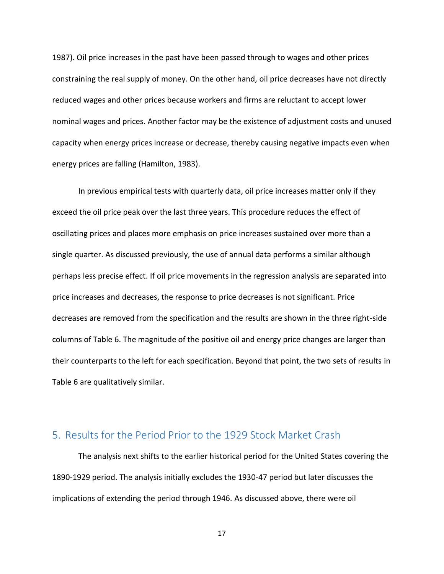1987). Oil price increases in the past have been passed through to wages and other prices constraining the real supply of money. On the other hand, oil price decreases have not directly reduced wages and other prices because workers and firms are reluctant to accept lower nominal wages and prices. Another factor may be the existence of adjustment costs and unused capacity when energy prices increase or decrease, thereby causing negative impacts even when energy prices are falling (Hamilton, 1983).

In previous empirical tests with quarterly data, oil price increases matter only if they exceed the oil price peak over the last three years. This procedure reduces the effect of oscillating prices and places more emphasis on price increases sustained over more than a single quarter. As discussed previously, the use of annual data performs a similar although perhaps less precise effect. If oil price movements in the regression analysis are separated into price increases and decreases, the response to price decreases is not significant. Price decreases are removed from the specification and the results are shown in the three right-side columns of Table 6. The magnitude of the positive oil and energy price changes are larger than their counterparts to the left for each specification. Beyond that point, the two sets of results in Table 6 are qualitatively similar.

#### 5. Results for the Period Prior to the 1929 Stock Market Crash

The analysis next shifts to the earlier historical period for the United States covering the 1890-1929 period. The analysis initially excludes the 1930-47 period but later discusses the implications of extending the period through 1946. As discussed above, there were oil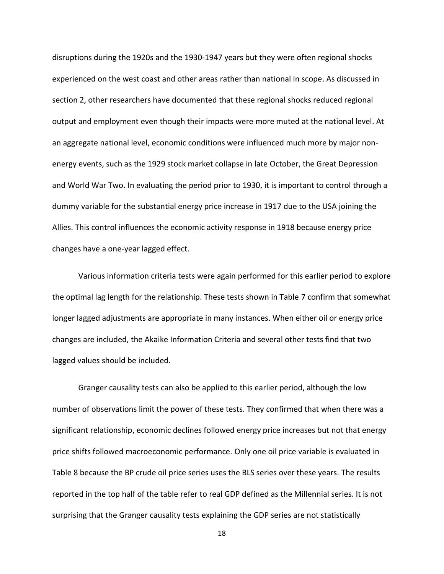disruptions during the 1920s and the 1930-1947 years but they were often regional shocks experienced on the west coast and other areas rather than national in scope. As discussed in section 2, other researchers have documented that these regional shocks reduced regional output and employment even though their impacts were more muted at the national level. At an aggregate national level, economic conditions were influenced much more by major nonenergy events, such as the 1929 stock market collapse in late October, the Great Depression and World War Two. In evaluating the period prior to 1930, it is important to control through a dummy variable for the substantial energy price increase in 1917 due to the USA joining the Allies. This control influences the economic activity response in 1918 because energy price changes have a one-year lagged effect.

Various information criteria tests were again performed for this earlier period to explore the optimal lag length for the relationship. These tests shown in Table 7 confirm that somewhat longer lagged adjustments are appropriate in many instances. When either oil or energy price changes are included, the Akaike Information Criteria and several other tests find that two lagged values should be included.

Granger causality tests can also be applied to this earlier period, although the low number of observations limit the power of these tests. They confirmed that when there was a significant relationship, economic declines followed energy price increases but not that energy price shifts followed macroeconomic performance. Only one oil price variable is evaluated in Table 8 because the BP crude oil price series uses the BLS series over these years. The results reported in the top half of the table refer to real GDP defined as the Millennial series. It is not surprising that the Granger causality tests explaining the GDP series are not statistically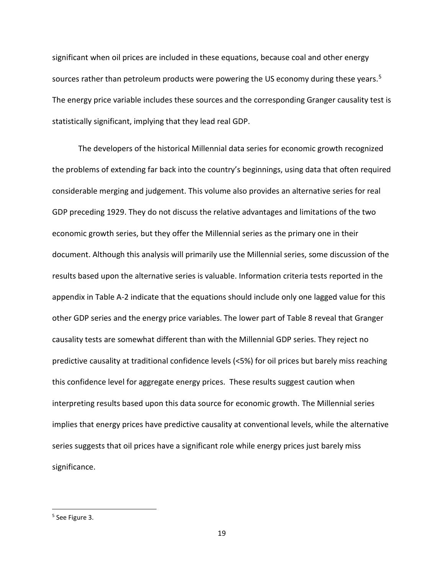significant when oil prices are included in these equations, because coal and other energy sources rather than petroleum products were powering the US economy during these years.<sup>5</sup> The energy price variable includes these sources and the corresponding Granger causality test is statistically significant, implying that they lead real GDP.

The developers of the historical Millennial data series for economic growth recognized the problems of extending far back into the country's beginnings, using data that often required considerable merging and judgement. This volume also provides an alternative series for real GDP preceding 1929. They do not discuss the relative advantages and limitations of the two economic growth series, but they offer the Millennial series as the primary one in their document. Although this analysis will primarily use the Millennial series, some discussion of the results based upon the alternative series is valuable. Information criteria tests reported in the appendix in Table A-2 indicate that the equations should include only one lagged value for this other GDP series and the energy price variables. The lower part of Table 8 reveal that Granger causality tests are somewhat different than with the Millennial GDP series. They reject no predictive causality at traditional confidence levels (<5%) for oil prices but barely miss reaching this confidence level for aggregate energy prices. These results suggest caution when interpreting results based upon this data source for economic growth. The Millennial series implies that energy prices have predictive causality at conventional levels, while the alternative series suggests that oil prices have a significant role while energy prices just barely miss significance.

l

<sup>&</sup>lt;sup>5</sup> See Figure 3.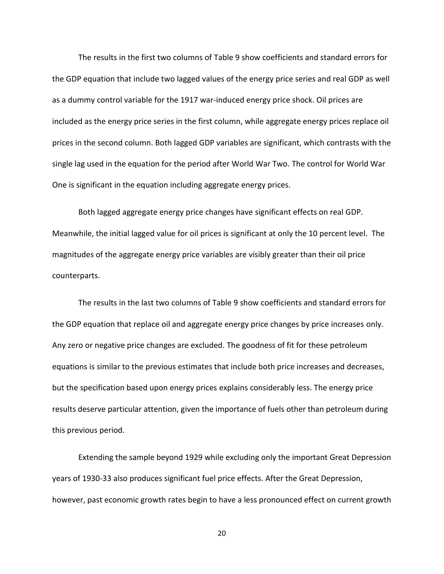The results in the first two columns of Table 9 show coefficients and standard errors for the GDP equation that include two lagged values of the energy price series and real GDP as well as a dummy control variable for the 1917 war-induced energy price shock. Oil prices are included as the energy price series in the first column, while aggregate energy prices replace oil prices in the second column. Both lagged GDP variables are significant, which contrasts with the single lag used in the equation for the period after World War Two. The control for World War One is significant in the equation including aggregate energy prices.

Both lagged aggregate energy price changes have significant effects on real GDP. Meanwhile, the initial lagged value for oil prices is significant at only the 10 percent level. The magnitudes of the aggregate energy price variables are visibly greater than their oil price counterparts.

The results in the last two columns of Table 9 show coefficients and standard errors for the GDP equation that replace oil and aggregate energy price changes by price increases only. Any zero or negative price changes are excluded. The goodness of fit for these petroleum equations is similar to the previous estimates that include both price increases and decreases, but the specification based upon energy prices explains considerably less. The energy price results deserve particular attention, given the importance of fuels other than petroleum during this previous period.

Extending the sample beyond 1929 while excluding only the important Great Depression years of 1930-33 also produces significant fuel price effects. After the Great Depression, however, past economic growth rates begin to have a less pronounced effect on current growth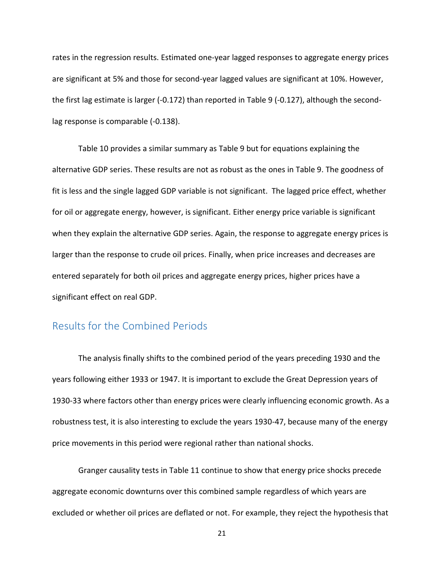rates in the regression results. Estimated one-year lagged responses to aggregate energy prices are significant at 5% and those for second-year lagged values are significant at 10%. However, the first lag estimate is larger (-0.172) than reported in Table 9 (-0.127), although the secondlag response is comparable (-0.138).

Table 10 provides a similar summary as Table 9 but for equations explaining the alternative GDP series. These results are not as robust as the ones in Table 9. The goodness of fit is less and the single lagged GDP variable is not significant. The lagged price effect, whether for oil or aggregate energy, however, is significant. Either energy price variable is significant when they explain the alternative GDP series. Again, the response to aggregate energy prices is larger than the response to crude oil prices. Finally, when price increases and decreases are entered separately for both oil prices and aggregate energy prices, higher prices have a significant effect on real GDP.

#### Results for the Combined Periods

The analysis finally shifts to the combined period of the years preceding 1930 and the years following either 1933 or 1947. It is important to exclude the Great Depression years of 1930-33 where factors other than energy prices were clearly influencing economic growth. As a robustness test, it is also interesting to exclude the years 1930-47, because many of the energy price movements in this period were regional rather than national shocks.

Granger causality tests in Table 11 continue to show that energy price shocks precede aggregate economic downturns over this combined sample regardless of which years are excluded or whether oil prices are deflated or not. For example, they reject the hypothesis that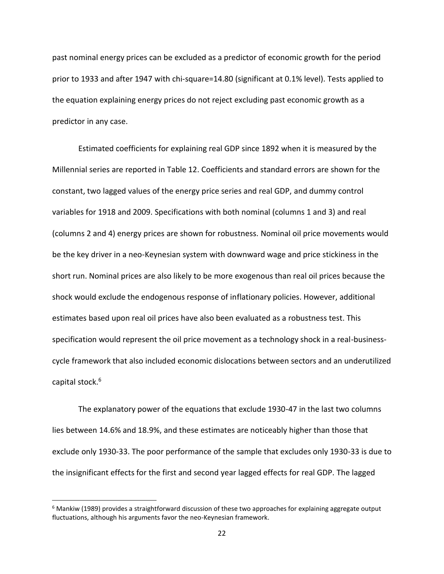past nominal energy prices can be excluded as a predictor of economic growth for the period prior to 1933 and after 1947 with chi-square=14.80 (significant at 0.1% level). Tests applied to the equation explaining energy prices do not reject excluding past economic growth as a predictor in any case.

Estimated coefficients for explaining real GDP since 1892 when it is measured by the Millennial series are reported in Table 12. Coefficients and standard errors are shown for the constant, two lagged values of the energy price series and real GDP, and dummy control variables for 1918 and 2009. Specifications with both nominal (columns 1 and 3) and real (columns 2 and 4) energy prices are shown for robustness. Nominal oil price movements would be the key driver in a neo-Keynesian system with downward wage and price stickiness in the short run. Nominal prices are also likely to be more exogenous than real oil prices because the shock would exclude the endogenous response of inflationary policies. However, additional estimates based upon real oil prices have also been evaluated as a robustness test. This specification would represent the oil price movement as a technology shock in a real-businesscycle framework that also included economic dislocations between sectors and an underutilized capital stock.<sup>6</sup>

The explanatory power of the equations that exclude 1930-47 in the last two columns lies between 14.6% and 18.9%, and these estimates are noticeably higher than those that exclude only 1930-33. The poor performance of the sample that excludes only 1930-33 is due to the insignificant effects for the first and second year lagged effects for real GDP. The lagged

 $\overline{\phantom{0}}$ 

<sup>&</sup>lt;sup>6</sup> Mankiw (1989) provides a straightforward discussion of these two approaches for explaining aggregate output fluctuations, although his arguments favor the neo-Keynesian framework.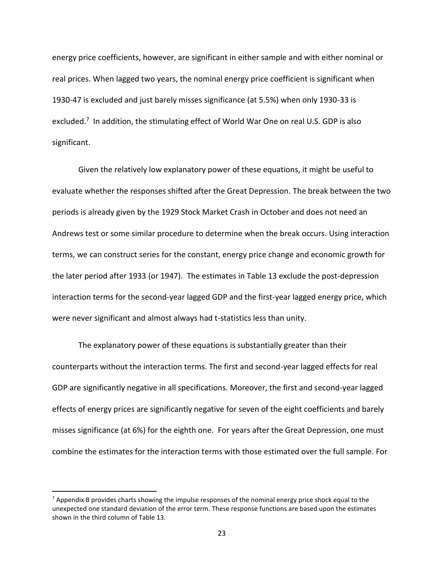energy price coefficients, however, are significant in either sample and with either nominal or real prices. When lagged two years, the nominal energy price coefficient is significant when 1930-47 is excluded and just barely misses significance (at 5.5%) when only 1930-33 is excluded.<sup>7</sup> In addition, the stimulating effect of World War One on real U.S. GDP is also significant.

Given the relatively low explanatory power of these equations, it might be useful to evaluate whether the responses shifted after the Great Depression. The break between the two periods is already given by the 1929 Stock Market Crash in October and does not need an Andrews test or some similar procedure to determine when the break occurs. Using interaction terms, we can construct series for the constant, energy price change and economic growth for the later period after 1933 (or 1947). The estimates in Table 13 exclude the post-depression interaction terms for the second-year lagged GDP and the first-year lagged energy price, which were never significant and almost always had t-statistics less than unity.

The explanatory power of these equations is substantially greater than their counterparts without the interaction terms. The first and second-year lagged effects for real GDP are significantly negative in all specifications. Moreover, the first and second-year lagged effects of energy prices are significantly negative for seven of the eight coefficients and barely misses significance (at 6%) for the eighth one. For years after the Great Depression, one must combine the estimates for the interaction terms with those estimated over the full sample. For

l

<sup>&</sup>lt;sup>7</sup> Appendix B provides charts showing the impulse responses of the nominal energy price shock equal to the unexpected one standard deviation of the error term. These response functions are based upon the estimates shown in the third column of Table 13.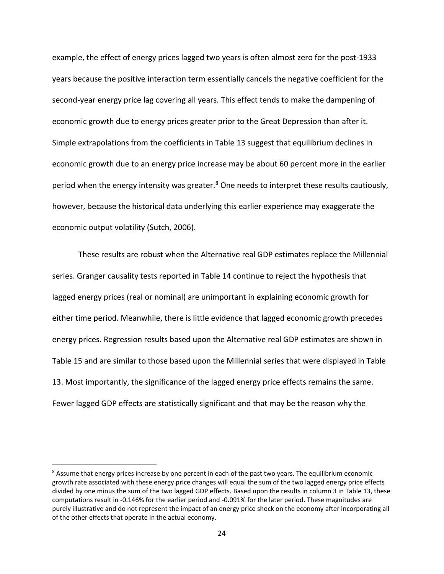example, the effect of energy prices lagged two years is often almost zero for the post-1933 years because the positive interaction term essentially cancels the negative coefficient for the second-year energy price lag covering all years. This effect tends to make the dampening of economic growth due to energy prices greater prior to the Great Depression than after it. Simple extrapolations from the coefficients in Table 13 suggest that equilibrium declines in economic growth due to an energy price increase may be about 60 percent more in the earlier period when the energy intensity was greater.<sup>8</sup> One needs to interpret these results cautiously, however, because the historical data underlying this earlier experience may exaggerate the economic output volatility (Sutch, 2006).

These results are robust when the Alternative real GDP estimates replace the Millennial series. Granger causality tests reported in Table 14 continue to reject the hypothesis that lagged energy prices (real or nominal) are unimportant in explaining economic growth for either time period. Meanwhile, there is little evidence that lagged economic growth precedes energy prices. Regression results based upon the Alternative real GDP estimates are shown in Table 15 and are similar to those based upon the Millennial series that were displayed in Table 13. Most importantly, the significance of the lagged energy price effects remains the same. Fewer lagged GDP effects are statistically significant and that may be the reason why the

 $\overline{a}$ 

<sup>&</sup>lt;sup>8</sup> Assume that energy prices increase by one percent in each of the past two years. The equilibrium economic growth rate associated with these energy price changes will equal the sum of the two lagged energy price effects divided by one minus the sum of the two lagged GDP effects. Based upon the results in column 3 in Table 13, these computations result in -0.146% for the earlier period and -0.091% for the later period. These magnitudes are purely illustrative and do not represent the impact of an energy price shock on the economy after incorporating all of the other effects that operate in the actual economy.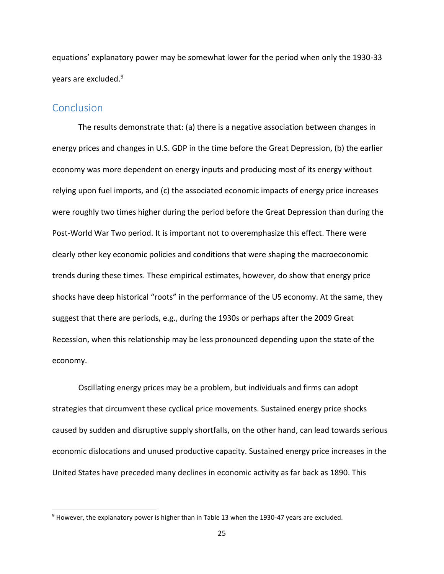equations' explanatory power may be somewhat lower for the period when only the 1930-33 years are excluded.<sup>9</sup>

#### **Conclusion**

l

The results demonstrate that: (a) there is a negative association between changes in energy prices and changes in U.S. GDP in the time before the Great Depression, (b) the earlier economy was more dependent on energy inputs and producing most of its energy without relying upon fuel imports, and (c) the associated economic impacts of energy price increases were roughly two times higher during the period before the Great Depression than during the Post‐World War Two period. It is important not to overemphasize this effect. There were clearly other key economic policies and conditions that were shaping the macroeconomic trends during these times. These empirical estimates, however, do show that energy price shocks have deep historical "roots" in the performance of the US economy. At the same, they suggest that there are periods, e.g., during the 1930s or perhaps after the 2009 Great Recession, when this relationship may be less pronounced depending upon the state of the economy.

Oscillating energy prices may be a problem, but individuals and firms can adopt strategies that circumvent these cyclical price movements. Sustained energy price shocks caused by sudden and disruptive supply shortfalls, on the other hand, can lead towards serious economic dislocations and unused productive capacity. Sustained energy price increases in the United States have preceded many declines in economic activity as far back as 1890. This

<sup>&</sup>lt;sup>9</sup> However, the explanatory power is higher than in Table 13 when the 1930-47 years are excluded.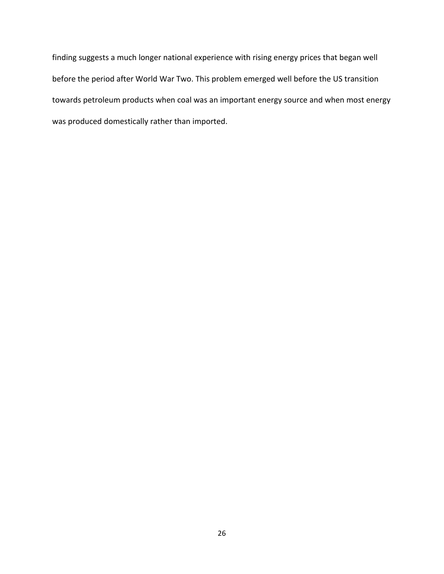finding suggests a much longer national experience with rising energy prices that began well before the period after World War Two. This problem emerged well before the US transition towards petroleum products when coal was an important energy source and when most energy was produced domestically rather than imported.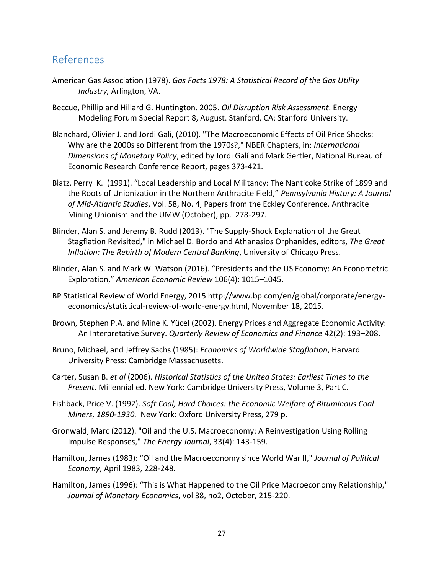### References

- American Gas Association (1978). *Gas Facts 1978: A Statistical Record of the Gas Utility Industry,* Arlington, VA.
- Beccue, Phillip and Hillard G. Huntington. 2005. *Oil Disruption Risk Assessment*. Energy Modeling Forum Special Report 8, August. Stanford, CA: Stanford University.
- Blanchard, Olivier J. and Jordi Galí, (2010). "The Macroeconomic Effects of Oil Price Shocks: Why are the 2000s so Different from the 1970s?," NBER Chapters, in: *International Dimensions of Monetary Policy*, edited by Jordi Galí and Mark Gertler, National Bureau of Economic Research Conference Report, pages 373-421.
- Blatz, Perry K. (1991). "Local Leadership and Local Militancy: The Nanticoke Strike of 1899 and the Roots of Unionization in the Northern Anthracite Field," *Pennsylvania History: A Journal of Mid-Atlantic Studies*, Vol. 58, No. 4, Papers from the Eckley Conference. Anthracite Mining Unionism and the UMW (October), pp. 278-297.
- Blinder, Alan S. and Jeremy B. Rudd (2013). "The Supply-Shock Explanation of the Great Stagflation Revisited," in Michael D. Bordo and Athanasios Orphanides, editors, *The Great Inflation: The Rebirth of Modern Central Banking*, University of Chicago Press.
- Blinder, Alan S. and Mark W. Watson (2016). "Presidents and the US Economy: An Econometric Exploration," *American Economic Review* 106(4): 1015–1045.
- BP Statistical Review of World Energy, 2015 http://www.bp.com/en/global/corporate/energyeconomics/statistical-review-of-world-energy.html, November 18, 2015.
- Brown, Stephen P.A. and Mine K. Yücel (2002). Energy Prices and Aggregate Economic Activity: An Interpretative Survey. *Quarterly Review of Economics and Finance* 42(2): 193–208.
- Bruno, Michael, and Jeffrey Sachs (1985): *Economics of Worldwide Stagflation*, Harvard University Press: Cambridge Massachusetts.
- Carter, Susan B. *et al* (2006). *Historical Statistics of the United States: Earliest Times to the Present.* Millennial ed. New York: Cambridge University Press, Volume 3, Part C.
- Fishback, Price V. (1992). *Soft Coal, Hard Choices: the Economic Welfare of Bituminous Coal Miners*, *1890-1930.* New York: Oxford University Press, 279 p.
- Gronwald, Marc (2012). "Oil and the U.S. Macroeconomy: A Reinvestigation Using Rolling Impulse Responses," *The Energy Journal*, 33(4): 143-159.
- Hamilton, James (1983): "Oil and the Macroeconomy since World War II," *Journal of Political Economy*, April 1983, 228-248.
- Hamilton, James (1996): "This is What Happened to the Oil Price Macroeconomy Relationship," *Journal of Monetary Economics*, vol 38, no2, October, 215-220.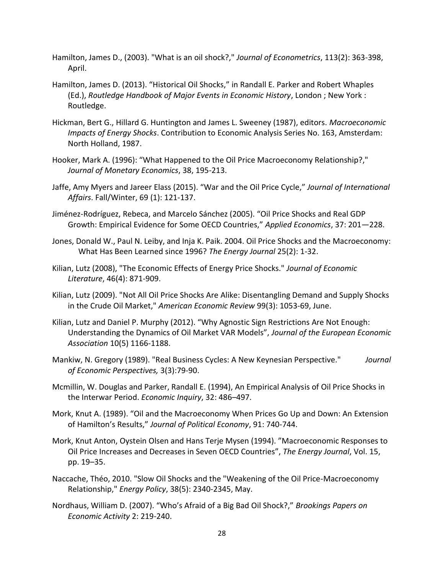Hamilton, James D., (2003). "What is an oil shock?," *Journal of Econometrics*, 113(2): 363-398, April.

- Hamilton, James D. (2013). "Historical Oil Shocks," in Randall E. Parker and Robert Whaples (Ed.), *Routledge Handbook of Major Events in Economic History*, London ; New York : Routledge.
- Hickman, Bert G., Hillard G. Huntington and James L. Sweeney (1987), editors. *Macroeconomic Impacts of Energy Shocks*. Contribution to Economic Analysis Series No. 163, Amsterdam: North Holland, 1987.
- Hooker, Mark A. (1996): "What Happened to the Oil Price Macroeconomy Relationship?," *Journal of Monetary Economics*, 38, 195-213.
- Jaffe, Amy Myers and Jareer Elass (2015). "War and the Oil Price Cycle," *Journal of International Affairs*. Fall/Winter, 69 (1): 121-137.
- Jiménez-Rodríguez, Rebeca, and Marcelo Sánchez (2005). "Oil Price Shocks and Real GDP Growth: Empirical Evidence for Some OECD Countries," *Applied Economics*, 37: 201—228.
- Jones, Donald W., Paul N. Leiby, and Inja K. Paik. 2004. Oil Price Shocks and the Macroeconomy: What Has Been Learned since 1996? *The Energy Journal* 25(2): 1-32.
- Kilian, Lutz (2008), "The Economic Effects of Energy Price Shocks." *Journal of Economic Literature*, 46(4): 871-909.
- Kilian, Lutz (2009). "Not All Oil Price Shocks Are Alike: Disentangling Demand and Supply Shocks in the Crude Oil Market," *American Economic Review* 99(3): 1053-69, June.
- Kilian, Lutz and Daniel P. Murphy (2012). "Why Agnostic Sign Restrictions Are Not Enough: Understanding the Dynamics of Oil Market VAR Models", *Journal of the European Economic Association* 10(5) 1166-1188.
- Mankiw, N. Gregory (1989). "Real Business Cycles: A New Keynesian Perspective." *Journal of Economic Perspectives,* 3(3):79-90.
- Mcmillin, W. Douglas and Parker, Randall E. (1994), An Empirical Analysis of Oil Price Shocks in the Interwar Period. *Economic Inquiry*, 32: 486–497.
- Mork, Knut A. (1989). "Oil and the Macroeconomy When Prices Go Up and Down: An Extension of Hamilton's Results," *Journal of Political Economy*, 91: 740-744.
- Mork, Knut Anton, Oystein Olsen and Hans Terje Mysen (1994). "Macroeconomic Responses to Oil Price Increases and Decreases in Seven OECD Countries", *The Energy Journal*, Vol. 15, pp. 19–35.
- Naccache, Théo, 2010. "Slow Oil Shocks and the "Weakening of the Oil Price-Macroeconomy Relationship," *Energy Policy*, 38(5): 2340-2345, May.
- Nordhaus, William D. (2007). "Who's Afraid of a Big Bad Oil Shock?," *Brookings Papers on Economic Activity* 2: 219-240.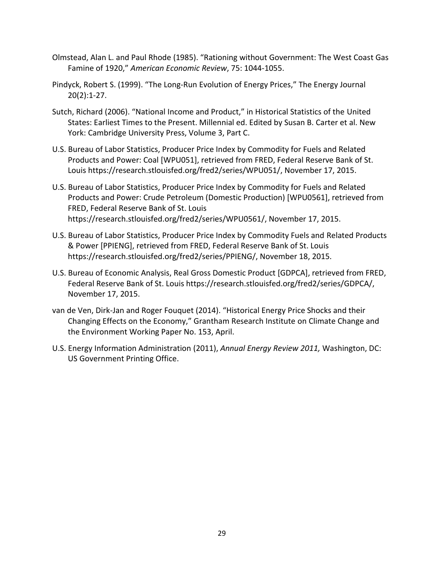- Olmstead, Alan L. and Paul Rhode (1985). "Rationing without Government: The West Coast Gas Famine of 1920," *American Economic Review*, 75: 1044-1055.
- Pindyck, Robert S. (1999). "The Long-Run Evolution of Energy Prices," The Energy Journal 20(2):1-27.
- Sutch, Richard (2006). "National Income and Product," in Historical Statistics of the United States: Earliest Times to the Present. Millennial ed. Edited by Susan B. Carter et al. New York: Cambridge University Press, Volume 3, Part C.
- U.S. Bureau of Labor Statistics, Producer Price Index by Commodity for Fuels and Related Products and Power: Coal [WPU051], retrieved from FRED, Federal Reserve Bank of St. Louis https://research.stlouisfed.org/fred2/series/WPU051/, November 17, 2015.
- U.S. Bureau of Labor Statistics, Producer Price Index by Commodity for Fuels and Related Products and Power: Crude Petroleum (Domestic Production) [WPU0561], retrieved from FRED, Federal Reserve Bank of St. Louis https://research.stlouisfed.org/fred2/series/WPU0561/, November 17, 2015.
- U.S. Bureau of Labor Statistics, Producer Price Index by Commodity Fuels and Related Products & Power [PPIENG], retrieved from FRED, Federal Reserve Bank of St. Louis https://research.stlouisfed.org/fred2/series/PPIENG/, November 18, 2015.
- U.S. Bureau of Economic Analysis, Real Gross Domestic Product [GDPCA], retrieved from FRED, Federal Reserve Bank of St. Louis https://research.stlouisfed.org/fred2/series/GDPCA/, November 17, 2015.
- van de Ven, Dirk-Jan and Roger Fouquet (2014). "Historical Energy Price Shocks and their Changing Effects on the Economy," Grantham Research Institute on Climate Change and the Environment Working Paper No. 153, April.
- U.S. Energy Information Administration (2011), *Annual Energy Review 2011,* Washington, DC: US Government Printing Office.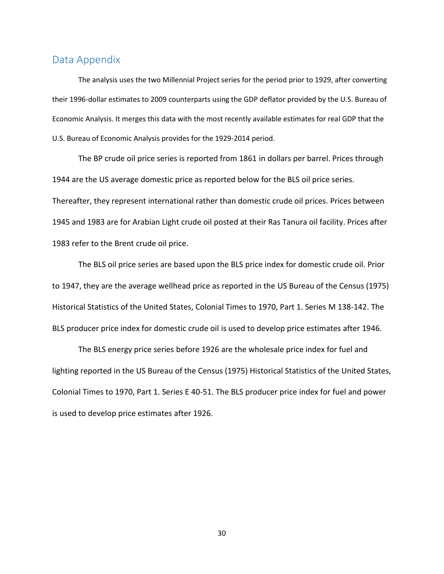#### Data Appendix

The analysis uses the two Millennial Project series for the period prior to 1929, after converting their 1996-dollar estimates to 2009 counterparts using the GDP deflator provided by the U.S. Bureau of Economic Analysis. It merges this data with the most recently available estimates for real GDP that the U.S. Bureau of Economic Analysis provides for the 1929-2014 period.

The BP crude oil price series is reported from 1861 in dollars per barrel. Prices through 1944 are the US average domestic price as reported below for the BLS oil price series. Thereafter, they represent international rather than domestic crude oil prices. Prices between 1945 and 1983 are for Arabian Light crude oil posted at their Ras Tanura oil facility. Prices after 1983 refer to the Brent crude oil price.

The BLS oil price series are based upon the BLS price index for domestic crude oil. Prior to 1947, they are the average wellhead price as reported in the US Bureau of the Census (1975) Historical Statistics of the United States, Colonial Times to 1970, Part 1. Series M 138-142. The BLS producer price index for domestic crude oil is used to develop price estimates after 1946.

The BLS energy price series before 1926 are the wholesale price index for fuel and lighting reported in the US Bureau of the Census (1975) Historical Statistics of the United States, Colonial Times to 1970, Part 1. Series E 40-51. The BLS producer price index for fuel and power is used to develop price estimates after 1926.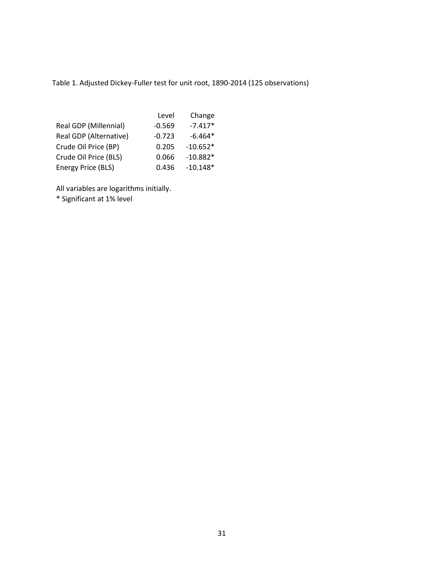Table 1. Adjusted Dickey-Fuller test for unit root, 1890-2014 (125 observations)

|                        | Level    | Change     |
|------------------------|----------|------------|
| Real GDP (Millennial)  | $-0.569$ | $-7.417*$  |
| Real GDP (Alternative) | $-0.723$ | $-6.464*$  |
| Crude Oil Price (BP)   | 0.205    | $-10.652*$ |
| Crude Oil Price (BLS)  | 0.066    | $-10.882*$ |
| Energy Price (BLS)     | 0.436    | $-10.148*$ |

All variables are logarithms initially.

\* Significant at 1% level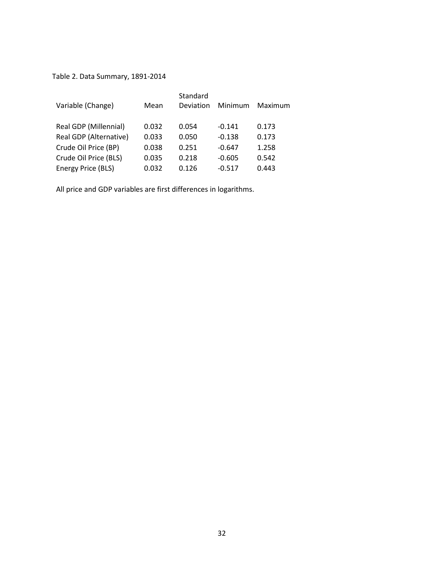Table 2. Data Summary, 1891-2014

| Mean  | Standard<br>Deviation | Minimum  | Maximum |
|-------|-----------------------|----------|---------|
| 0.032 | 0.054                 | $-0.141$ | 0.173   |
| 0.033 | 0.050                 | $-0.138$ | 0.173   |
| 0.038 | 0.251                 | $-0.647$ | 1.258   |
| 0.035 | 0.218                 | $-0.605$ | 0.542   |
| 0.032 | 0.126                 | $-0.517$ | 0.443   |
|       |                       |          |         |

All price and GDP variables are first differences in logarithms.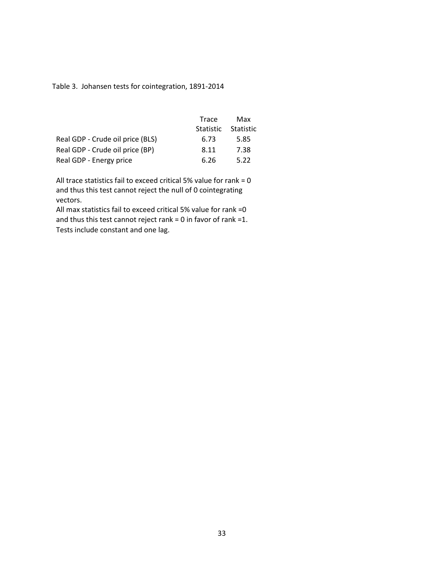Table 3. Johansen tests for cointegration, 1891-2014

|                                  | Trace | Max                 |
|----------------------------------|-------|---------------------|
|                                  |       | Statistic Statistic |
| Real GDP - Crude oil price (BLS) | 6.73  | 5.85                |
| Real GDP - Crude oil price (BP)  | 8.11  | 7.38                |
| Real GDP - Energy price          | 6.26  | 5.22                |

All trace statistics fail to exceed critical 5% value for rank = 0 and thus this test cannot reject the null of 0 cointegrating vectors.

All max statistics fail to exceed critical 5% value for rank =0 and thus this test cannot reject rank = 0 in favor of rank =1. Tests include constant and one lag.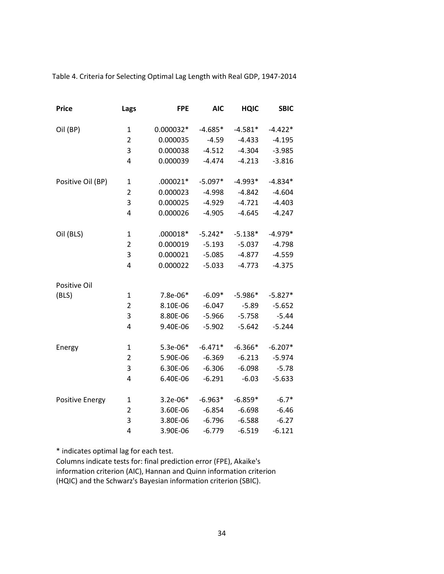Table 4. Criteria for Selecting Optimal Lag Length with Real GDP, 1947-2014

| <b>Price</b>      | Lags           | <b>FPE</b> | <b>AIC</b> | <b>HQIC</b> | <b>SBIC</b> |
|-------------------|----------------|------------|------------|-------------|-------------|
| Oil (BP)          | 1              | 0.000032*  | $-4.685*$  | $-4.581*$   | $-4.422*$   |
|                   | $\overline{2}$ | 0.000035   | $-4.59$    | $-4.433$    | $-4.195$    |
|                   | 3              | 0.000038   | $-4.512$   | $-4.304$    | $-3.985$    |
|                   | 4              | 0.000039   | $-4.474$   | $-4.213$    | $-3.816$    |
| Positive Oil (BP) | $\mathbf 1$    | $.000021*$ | $-5.097*$  | $-4.993*$   | $-4.834*$   |
|                   | $\overline{2}$ | 0.000023   | $-4.998$   | $-4.842$    | $-4.604$    |
|                   | 3              | 0.000025   | $-4.929$   | $-4.721$    | $-4.403$    |
|                   | 4              | 0.000026   | $-4.905$   | $-4.645$    | $-4.247$    |
| Oil (BLS)         | $\mathbf 1$    | .000018*   | $-5.242*$  | $-5.138*$   | $-4.979*$   |
|                   | $\overline{2}$ | 0.000019   | $-5.193$   | $-5.037$    | $-4.798$    |
|                   | 3              | 0.000021   | $-5.085$   | $-4.877$    | $-4.559$    |
|                   | 4              | 0.000022   | $-5.033$   | $-4.773$    | $-4.375$    |
| Positive Oil      |                |            |            |             |             |
| (BLS)             | $\mathbf{1}$   | 7.8e-06*   | $-6.09*$   | $-5.986*$   | $-5.827*$   |
|                   | $\overline{2}$ | 8.10E-06   | $-6.047$   | $-5.89$     | $-5.652$    |
|                   | 3              | 8.80E-06   | $-5.966$   | $-5.758$    | $-5.44$     |
|                   | 4              | 9.40E-06   | $-5.902$   | $-5.642$    | $-5.244$    |
| Energy            | $\mathbf{1}$   | $5.3e-06*$ | $-6.471*$  | $-6.366*$   | $-6.207*$   |
|                   | $\overline{2}$ | 5.90E-06   | $-6.369$   | $-6.213$    | $-5.974$    |
|                   | 3              | 6.30E-06   | $-6.306$   | $-6.098$    | $-5.78$     |
|                   | 4              | 6.40E-06   | $-6.291$   | $-6.03$     | $-5.633$    |
| Positive Energy   | $\mathbf{1}$   | $3.2e-06*$ | $-6.963*$  | $-6.859*$   | $-6.7*$     |
|                   | 2              | 3.60E-06   | $-6.854$   | $-6.698$    | $-6.46$     |
|                   | 3              | 3.80E-06   | $-6.796$   | $-6.588$    | $-6.27$     |
|                   | 4              | 3.90E-06   | $-6.779$   | $-6.519$    | $-6.121$    |

\* indicates optimal lag for each test.

Columns indicate tests for: final prediction error (FPE), Akaike's information criterion (AIC), Hannan and Quinn information criterion (HQIC) and the Schwarz's Bayesian information criterion (SBIC).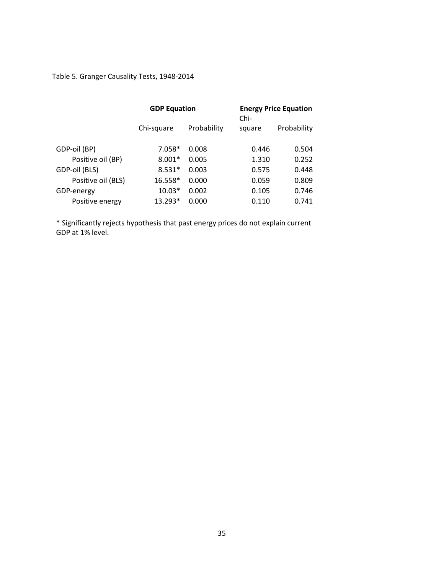Table 5. Granger Causality Tests, 1948-2014

|                    | <b>GDP Equation</b> |             | $Chi-$ | <b>Energy Price Equation</b> |
|--------------------|---------------------|-------------|--------|------------------------------|
|                    | Chi-square          | Probability | square | Probability                  |
| GDP-oil (BP)       | $7.058*$            | 0.008       | 0.446  | 0.504                        |
| Positive oil (BP)  | $8.001*$            | 0.005       | 1.310  | 0.252                        |
| GDP-oil (BLS)      | $8.531*$            | 0.003       | 0.575  | 0.448                        |
| Positive oil (BLS) | 16.558*             | 0.000       | 0.059  | 0.809                        |
| GDP-energy         | $10.03*$            | 0.002       | 0.105  | 0.746                        |
| Positive energy    | $13.293*$           | 0.000       | 0.110  | 0.741                        |

\* Significantly rejects hypothesis that past energy prices do not explain current GDP at 1% level.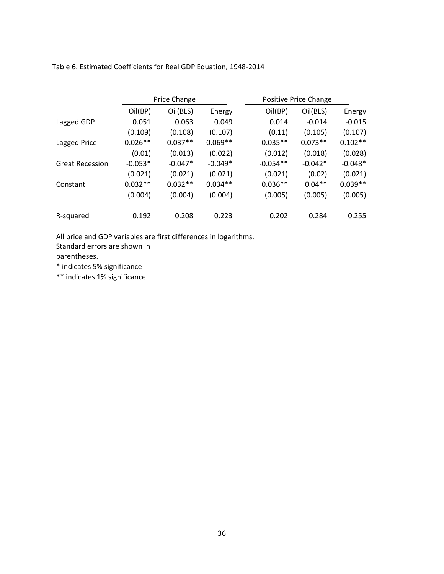Table 6. Estimated Coefficients for Real GDP Equation, 1948-2014

|                        |            | <b>Price Change</b> |            | Positive Price Change |            |            |
|------------------------|------------|---------------------|------------|-----------------------|------------|------------|
|                        | Oil(BP)    | Oil(BLS)            | Energy     | Oil(BP)               | Oil(BLS)   | Energy     |
| Lagged GDP             | 0.051      | 0.063               | 0.049      | 0.014                 | $-0.014$   | $-0.015$   |
|                        | (0.109)    | (0.108)             | (0.107)    | (0.11)                | (0.105)    | (0.107)    |
| Lagged Price           | $-0.026**$ | $-0.037**$          | $-0.069**$ | $-0.035**$            | $-0.073**$ | $-0.102**$ |
|                        | (0.01)     | (0.013)             | (0.022)    | (0.012)               | (0.018)    | (0.028)    |
| <b>Great Recession</b> | $-0.053*$  | $-0.047*$           | $-0.049*$  | $-0.054**$            | $-0.042*$  | $-0.048*$  |
|                        | (0.021)    | (0.021)             | (0.021)    | (0.021)               | (0.02)     | (0.021)    |
| Constant               | $0.032**$  | $0.032**$           | $0.034**$  | $0.036**$             | $0.04**$   | $0.039**$  |
|                        | (0.004)    | (0.004)             | (0.004)    | (0.005)               | (0.005)    | (0.005)    |
|                        |            |                     |            |                       |            |            |
| R-squared              | 0.192      | 0.208               | 0.223      | 0.202                 | 0.284      | 0.255      |

All price and GDP variables are first differences in logarithms.

Standard errors are shown in

parentheses.

\* indicates 5% significance

\*\* indicates 1% significance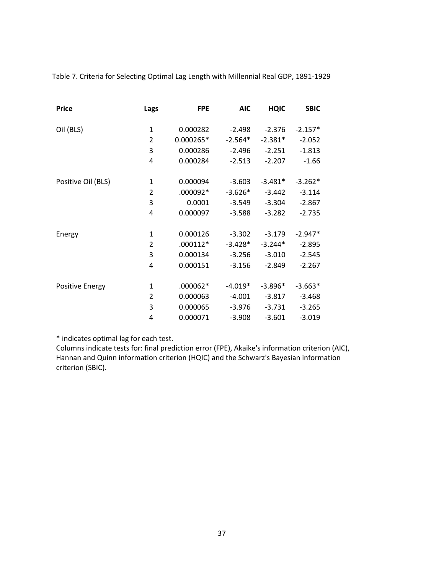Table 7. Criteria for Selecting Optimal Lag Length with Millennial Real GDP, 1891-1929

| <b>Price</b>           | Lags           | <b>FPE</b> | <b>AIC</b> | <b>HQIC</b> | <b>SBIC</b> |
|------------------------|----------------|------------|------------|-------------|-------------|
| Oil (BLS)              | 1              | 0.000282   | $-2.498$   | $-2.376$    | $-2.157*$   |
|                        | $\overline{2}$ | 0.000265*  | $-2.564*$  | $-2.381*$   | $-2.052$    |
|                        | 3              | 0.000286   | $-2.496$   | $-2.251$    | $-1.813$    |
|                        | 4              | 0.000284   | $-2.513$   | $-2.207$    | $-1.66$     |
| Positive Oil (BLS)     | 1              | 0.000094   | $-3.603$   | $-3.481*$   | $-3.262*$   |
|                        | 2              | .000092*   | $-3.626*$  | $-3.442$    | $-3.114$    |
|                        | 3              | 0.0001     | $-3.549$   | $-3.304$    | $-2.867$    |
|                        | 4              | 0.000097   | $-3.588$   | $-3.282$    | $-2.735$    |
| Energy                 | 1              | 0.000126   | $-3.302$   | $-3.179$    | $-2.947*$   |
|                        | 2              | $.000112*$ | $-3.428*$  | $-3.244*$   | $-2.895$    |
|                        | 3              | 0.000134   | $-3.256$   | $-3.010$    | $-2.545$    |
|                        | 4              | 0.000151   | $-3.156$   | $-2.849$    | $-2.267$    |
| <b>Positive Energy</b> | 1              | $.000062*$ | $-4.019*$  | $-3.896*$   | $-3.663*$   |
|                        | 2              | 0.000063   | $-4.001$   | $-3.817$    | $-3.468$    |
|                        | 3              | 0.000065   | $-3.976$   | $-3.731$    | $-3.265$    |
|                        | 4              | 0.000071   | $-3.908$   | $-3.601$    | $-3.019$    |

\* indicates optimal lag for each test.

Columns indicate tests for: final prediction error (FPE), Akaike's information criterion (AIC), Hannan and Quinn information criterion (HQIC) and the Schwarz's Bayesian information criterion (SBIC).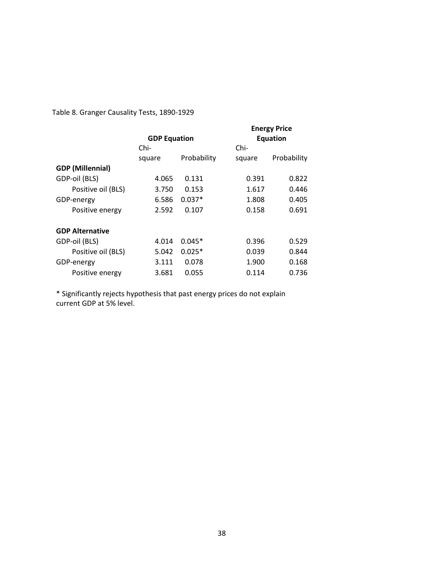Table 8. Granger Causality Tests, 1890-1929

|                         |                     |             |                 | <b>Energy Price</b> |  |
|-------------------------|---------------------|-------------|-----------------|---------------------|--|
|                         | <b>GDP Equation</b> |             | <b>Equation</b> |                     |  |
|                         | Chi-                |             | Chi-            |                     |  |
|                         | square              | Probability | square          | Probability         |  |
| <b>GDP</b> (Millennial) |                     |             |                 |                     |  |
| GDP-oil (BLS)           | 4.065               | 0.131       | 0.391           | 0.822               |  |
| Positive oil (BLS)      | 3.750               | 0.153       | 1.617           | 0.446               |  |
| GDP-energy              | 6.586               | $0.037*$    | 1.808           | 0.405               |  |
| Positive energy         | 2.592               | 0.107       | 0.158           | 0.691               |  |
| <b>GDP Alternative</b>  |                     |             |                 |                     |  |
| GDP-oil (BLS)           | 4.014               | $0.045*$    | 0.396           | 0.529               |  |
| Positive oil (BLS)      | 5.042               | $0.025*$    | 0.039           | 0.844               |  |
| GDP-energy              | 3.111               | 0.078       | 1.900           | 0.168               |  |
| Positive energy         | 3.681               | 0.055       | 0.114           | 0.736               |  |

\* Significantly rejects hypothesis that past energy prices do not explain current GDP at 5% level.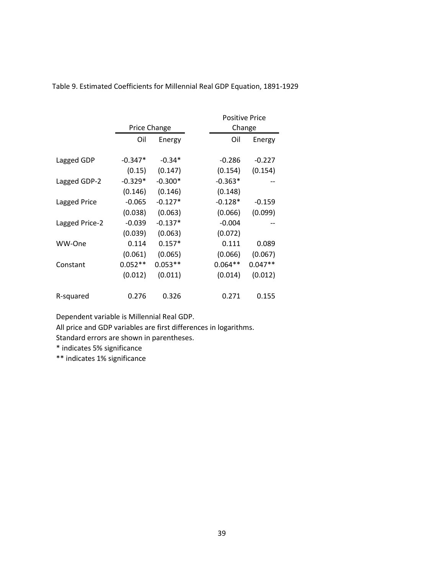|                |              |           | <b>Positive Price</b> |           |
|----------------|--------------|-----------|-----------------------|-----------|
|                | Price Change |           | Change                |           |
|                | Oil          | Energy    | Oil                   | Energy    |
| Lagged GDP     | $-0.347*$    | $-0.34*$  | $-0.286$              | $-0.227$  |
|                | (0.15)       | (0.147)   | (0.154)               | (0.154)   |
| Lagged GDP-2   | -0.329*      | $-0.300*$ | $-0.363*$             |           |
|                | (0.146)      | (0.146)   | (0.148)               |           |
| Lagged Price   | $-0.065$     | $-0.127*$ | $-0.128*$             | $-0.159$  |
|                | (0.038)      | (0.063)   | (0.066)               | (0.099)   |
| Lagged Price-2 | $-0.039$     | $-0.137*$ | $-0.004$              |           |
|                | (0.039)      | (0.063)   | (0.072)               |           |
| WW-One         | 0.114        | $0.157*$  | 0.111                 | 0.089     |
|                | (0.061)      | (0.065)   | (0.066)               | (0.067)   |
| Constant       | $0.052**$    | $0.053**$ | $0.064**$             | $0.047**$ |
|                | (0.012)      | (0.011)   | (0.014)               | (0.012)   |
| R-squared      | 0.276        | 0.326     | 0.271                 | 0.155     |

Table 9. Estimated Coefficients for Millennial Real GDP Equation, 1891-1929

Dependent variable is Millennial Real GDP.

All price and GDP variables are first differences in logarithms.

Standard errors are shown in parentheses.

\* indicates 5% significance

\*\* indicates 1% significance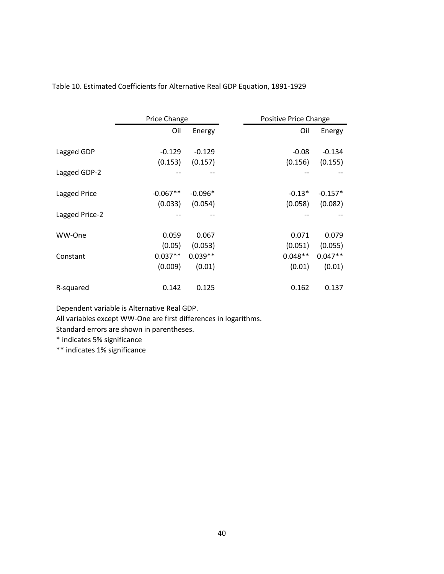|                | <b>Price Change</b> |           | Positive Price Change |           |
|----------------|---------------------|-----------|-----------------------|-----------|
|                | Oil                 | Energy    | Oil                   | Energy    |
| Lagged GDP     | $-0.129$            | $-0.129$  | $-0.08$               | $-0.134$  |
|                | (0.153)             | (0.157)   | (0.156)               | (0.155)   |
| Lagged GDP-2   |                     |           |                       |           |
| Lagged Price   | $-0.067**$          | $-0.096*$ | $-0.13*$              | $-0.157*$ |
|                | (0.033)             | (0.054)   | (0.058)               | (0.082)   |
| Lagged Price-2 |                     |           |                       |           |
| WW-One         | 0.059               | 0.067     | 0.071                 | 0.079     |
|                | (0.05)              | (0.053)   | (0.051)               | (0.055)   |
| Constant       | $0.037**$           | $0.039**$ | $0.048**$             | $0.047**$ |
|                | (0.009)             | (0.01)    | (0.01)                | (0.01)    |
| R-squared      | 0.142               | 0.125     | 0.162                 | 0.137     |

Table 10. Estimated Coefficients for Alternative Real GDP Equation, 1891-1929

Dependent variable is Alternative Real GDP.

All variables except WW-One are first differences in logarithms.

Standard errors are shown in parentheses.

\* indicates 5% significance

\*\* indicates 1% significance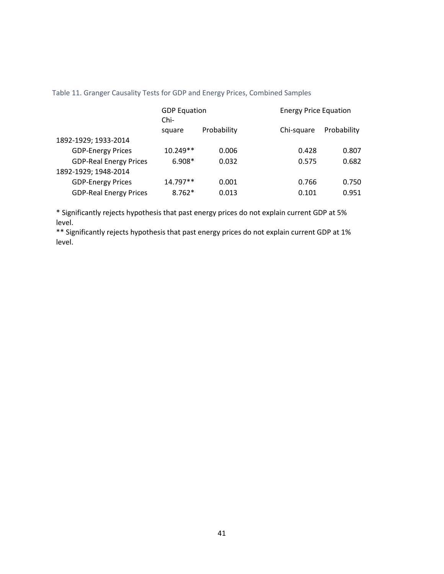|                               | <b>GDP Equation</b><br>Chi- |             | <b>Energy Price Equation</b> |             |
|-------------------------------|-----------------------------|-------------|------------------------------|-------------|
|                               | square                      | Probability | Chi-square                   | Probability |
| 1892-1929; 1933-2014          |                             |             |                              |             |
| <b>GDP-Energy Prices</b>      | $10.249**$                  | 0.006       | 0.428                        | 0.807       |
| <b>GDP-Real Energy Prices</b> | $6.908*$                    | 0.032       | 0.575                        | 0.682       |
| 1892-1929; 1948-2014          |                             |             |                              |             |
| <b>GDP-Energy Prices</b>      | 14.797**                    | 0.001       | 0.766                        | 0.750       |
| <b>GDP-Real Energy Prices</b> | $8.762*$                    | 0.013       | 0.101                        | 0.951       |

Table 11. Granger Causality Tests for GDP and Energy Prices, Combined Samples

\* Significantly rejects hypothesis that past energy prices do not explain current GDP at 5% level.

\*\* Significantly rejects hypothesis that past energy prices do not explain current GDP at 1% level.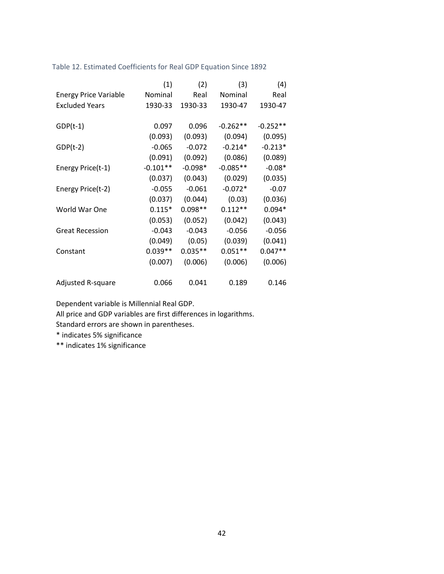Table 12. Estimated Coefficients for Real GDP Equation Since 1892

|                              | (1)        | (2)       | (3)        | (4)        |
|------------------------------|------------|-----------|------------|------------|
| <b>Energy Price Variable</b> | Nominal    | Real      | Nominal    | Real       |
| <b>Excluded Years</b>        | 1930-33    | 1930-33   | 1930-47    | 1930-47    |
|                              |            |           |            |            |
| $GDP(t-1)$                   | 0.097      | 0.096     | $-0.262**$ | $-0.252**$ |
|                              | (0.093)    | (0.093)   | (0.094)    | (0.095)    |
| $GDP(t-2)$                   | $-0.065$   | $-0.072$  | $-0.214*$  | $-0.213*$  |
|                              | (0.091)    | (0.092)   | (0.086)    | (0.089)    |
| Energy Price(t-1)            | $-0.101**$ | $-0.098*$ | $-0.085**$ | $-0.08*$   |
|                              | (0.037)    | (0.043)   | (0.029)    | (0.035)    |
| Energy Price(t-2)            | $-0.055$   | $-0.061$  | $-0.072*$  | $-0.07$    |
|                              | (0.037)    | (0.044)   | (0.03)     | (0.036)    |
| World War One                | $0.115*$   | $0.098**$ | $0.112**$  | $0.094*$   |
|                              | (0.053)    | (0.052)   | (0.042)    | (0.043)    |
| <b>Great Recession</b>       | $-0.043$   | $-0.043$  | $-0.056$   | $-0.056$   |
|                              | (0.049)    | (0.05)    | (0.039)    | (0.041)    |
| Constant                     | $0.039**$  | $0.035**$ | $0.051**$  | $0.047**$  |
|                              | (0.007)    | (0.006)   | (0.006)    | (0.006)    |
|                              |            |           |            |            |
| <b>Adjusted R-square</b>     | 0.066      | 0.041     | 0.189      | 0.146      |

Dependent variable is Millennial Real GDP.

All price and GDP variables are first differences in logarithms.

Standard errors are shown in parentheses.

\* indicates 5% significance

\*\* indicates 1% significance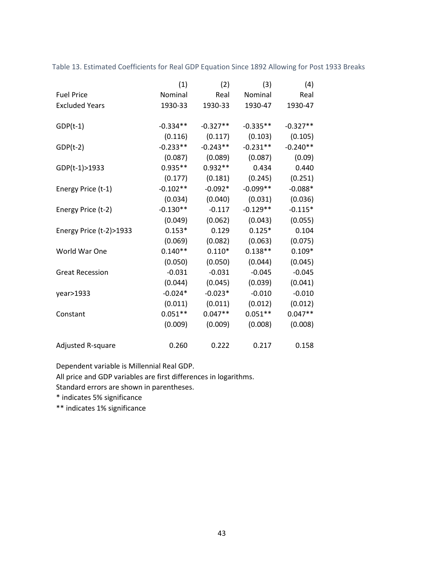|                         | (1)        | (2)        | (3)        | (4)        |
|-------------------------|------------|------------|------------|------------|
| <b>Fuel Price</b>       | Nominal    | Real       | Nominal    | Real       |
| <b>Excluded Years</b>   | 1930-33    | 1930-33    | 1930-47    | 1930-47    |
|                         |            |            |            |            |
| $GDP(t-1)$              | $-0.334**$ | $-0.327**$ | $-0.335**$ | $-0.327**$ |
|                         | (0.116)    | (0.117)    | (0.103)    | (0.105)    |
| $GDP(t-2)$              | $-0.233**$ | $-0.243**$ | $-0.231**$ | $-0.240**$ |
|                         | (0.087)    | (0.089)    | (0.087)    | (0.09)     |
| GDP(t-1)>1933           | $0.935**$  | $0.932**$  | 0.434      | 0.440      |
|                         | (0.177)    | (0.181)    | (0.245)    | (0.251)    |
| Energy Price (t-1)      | $-0.102**$ | $-0.092*$  | $-0.099**$ | $-0.088*$  |
|                         | (0.034)    | (0.040)    | (0.031)    | (0.036)    |
| Energy Price (t-2)      | $-0.130**$ | $-0.117$   | $-0.129**$ | $-0.115*$  |
|                         | (0.049)    | (0.062)    | (0.043)    | (0.055)    |
| Energy Price (t-2)>1933 | $0.153*$   | 0.129      | $0.125*$   | 0.104      |
|                         | (0.069)    | (0.082)    | (0.063)    | (0.075)    |
| World War One           | $0.140**$  | $0.110*$   | $0.138**$  | $0.109*$   |
|                         | (0.050)    | (0.050)    | (0.044)    | (0.045)    |
| <b>Great Recession</b>  | $-0.031$   | $-0.031$   | $-0.045$   | $-0.045$   |
|                         | (0.044)    | (0.045)    | (0.039)    | (0.041)    |
| year>1933               | $-0.024*$  | $-0.023*$  | $-0.010$   | $-0.010$   |
|                         | (0.011)    | (0.011)    | (0.012)    | (0.012)    |
| Constant                | $0.051**$  | $0.047**$  | $0.051**$  | $0.047**$  |
|                         | (0.009)    | (0.009)    | (0.008)    | (0.008)    |
|                         |            |            |            |            |
| Adjusted R-square       | 0.260      | 0.222      | 0.217      | 0.158      |

Table 13. Estimated Coefficients for Real GDP Equation Since 1892 Allowing for Post 1933 Breaks

Dependent variable is Millennial Real GDP.

All price and GDP variables are first differences in logarithms.

Standard errors are shown in parentheses.

\* indicates 5% significance

\*\* indicates 1% significance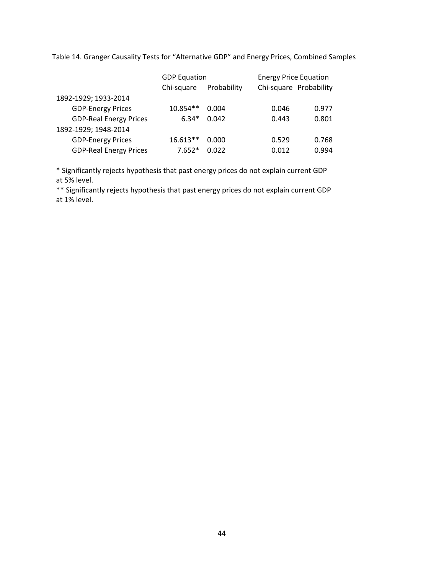Table 14. Granger Causality Tests for "Alternative GDP" and Energy Prices, Combined Samples

|                               | <b>GDP Equation</b> |             | <b>Energy Price Equation</b> |       |  |
|-------------------------------|---------------------|-------------|------------------------------|-------|--|
|                               | Chi-square          | Probability | Chi-square Probability       |       |  |
| 1892-1929; 1933-2014          |                     |             |                              |       |  |
| <b>GDP-Energy Prices</b>      | $10.854**$          | 0.004       | 0.046                        | 0.977 |  |
| <b>GDP-Real Energy Prices</b> | $6.34*$             | 0.042       | 0.443                        | 0.801 |  |
| 1892-1929; 1948-2014          |                     |             |                              |       |  |
| <b>GDP-Energy Prices</b>      | $16.613**$          | 0.000       | 0.529                        | 0.768 |  |
| <b>GDP-Real Energy Prices</b> | $7.652*$            | 0.022       | 0.012                        | 0.994 |  |

\* Significantly rejects hypothesis that past energy prices do not explain current GDP at 5% level.

\*\* Significantly rejects hypothesis that past energy prices do not explain current GDP at 1% level.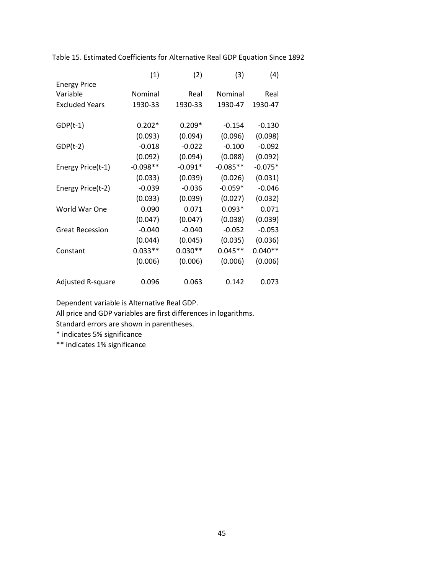|                        | (1)        | (2)       | (3)        | (4)       |
|------------------------|------------|-----------|------------|-----------|
| <b>Energy Price</b>    |            |           |            |           |
| Variable               | Nominal    | Real      | Nominal    | Real      |
| <b>Excluded Years</b>  | 1930-33    | 1930-33   | 1930-47    | 1930-47   |
|                        |            |           |            |           |
| $GDP(t-1)$             | $0.202*$   | $0.209*$  | $-0.154$   | $-0.130$  |
|                        | (0.093)    | (0.094)   | (0.096)    | (0.098)   |
| $GDP(t-2)$             | $-0.018$   | $-0.022$  | $-0.100$   | $-0.092$  |
|                        | (0.092)    | (0.094)   | (0.088)    | (0.092)   |
| Energy Price(t-1)      | $-0.098**$ | $-0.091*$ | $-0.085**$ | $-0.075*$ |
|                        | (0.033)    | (0.039)   | (0.026)    | (0.031)   |
| Energy Price(t-2)      | $-0.039$   | $-0.036$  | $-0.059*$  | $-0.046$  |
|                        | (0.033)    | (0.039)   | (0.027)    | (0.032)   |
| World War One          | 0.090      | 0.071     | $0.093*$   | 0.071     |
|                        | (0.047)    | (0.047)   | (0.038)    | (0.039)   |
| <b>Great Recession</b> | $-0.040$   | $-0.040$  | $-0.052$   | $-0.053$  |
|                        | (0.044)    | (0.045)   | (0.035)    | (0.036)   |
| Constant               | $0.033**$  | $0.030**$ | $0.045**$  | $0.040**$ |
|                        | (0.006)    | (0.006)   | (0.006)    | (0.006)   |
|                        |            |           |            |           |
| Adjusted R-square      | 0.096      | 0.063     | 0.142      | 0.073     |

Table 15. Estimated Coefficients for Alternative Real GDP Equation Since 1892

Dependent variable is Alternative Real GDP.

All price and GDP variables are first differences in logarithms.

Standard errors are shown in parentheses.

\* indicates 5% significance

\*\* indicates 1% significance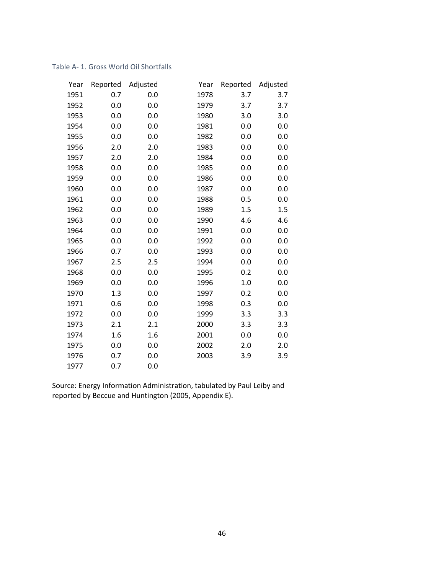#### Table A- 1. Gross World Oil Shortfalls

| Year | Reported | Adjusted | Year | Reported | Adjusted |
|------|----------|----------|------|----------|----------|
| 1951 | 0.7      | 0.0      | 1978 | 3.7      | 3.7      |
| 1952 | 0.0      | 0.0      | 1979 | 3.7      | 3.7      |
| 1953 | 0.0      | 0.0      | 1980 | 3.0      | 3.0      |
| 1954 | 0.0      | 0.0      | 1981 | 0.0      | 0.0      |
| 1955 | 0.0      | 0.0      | 1982 | 0.0      | 0.0      |
| 1956 | 2.0      | 2.0      | 1983 | 0.0      | 0.0      |
| 1957 | 2.0      | 2.0      | 1984 | 0.0      | 0.0      |
| 1958 | 0.0      | 0.0      | 1985 | 0.0      | 0.0      |
| 1959 | 0.0      | 0.0      | 1986 | 0.0      | 0.0      |
| 1960 | 0.0      | 0.0      | 1987 | 0.0      | 0.0      |
| 1961 | 0.0      | 0.0      | 1988 | 0.5      | 0.0      |
| 1962 | 0.0      | 0.0      | 1989 | 1.5      | 1.5      |
| 1963 | 0.0      | 0.0      | 1990 | 4.6      | 4.6      |
| 1964 | 0.0      | 0.0      | 1991 | 0.0      | 0.0      |
| 1965 | 0.0      | 0.0      | 1992 | 0.0      | 0.0      |
| 1966 | 0.7      | 0.0      | 1993 | 0.0      | 0.0      |
| 1967 | 2.5      | 2.5      | 1994 | 0.0      | 0.0      |
| 1968 | 0.0      | 0.0      | 1995 | 0.2      | 0.0      |
| 1969 | 0.0      | 0.0      | 1996 | 1.0      | 0.0      |
| 1970 | 1.3      | 0.0      | 1997 | 0.2      | 0.0      |
| 1971 | 0.6      | 0.0      | 1998 | 0.3      | 0.0      |
| 1972 | 0.0      | 0.0      | 1999 | 3.3      | 3.3      |
| 1973 | 2.1      | 2.1      | 2000 | 3.3      | 3.3      |
| 1974 | 1.6      | 1.6      | 2001 | 0.0      | 0.0      |
| 1975 | 0.0      | 0.0      | 2002 | 2.0      | 2.0      |
| 1976 | 0.7      | 0.0      | 2003 | 3.9      | 3.9      |
| 1977 | 0.7      | 0.0      |      |          |          |

Source: Energy Information Administration, tabulated by Paul Leiby and reported by Beccue and Huntington (2005, Appendix E).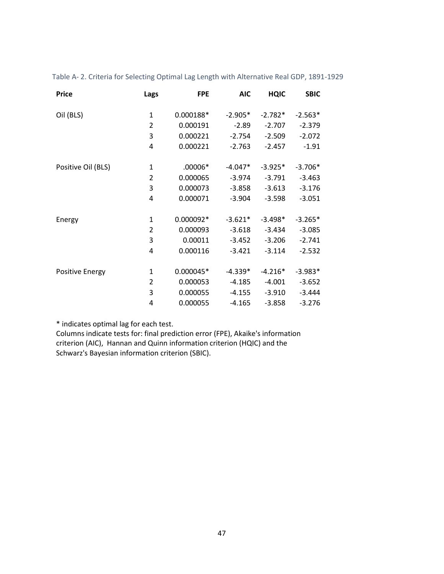| <b>Price</b>           | Lags           | <b>FPE</b> | <b>AIC</b> | <b>HQIC</b> | <b>SBIC</b> |
|------------------------|----------------|------------|------------|-------------|-------------|
|                        |                |            |            |             |             |
| Oil (BLS)              | $\mathbf{1}$   | 0.000188*  | $-2.905*$  | $-2.782*$   | $-2.563*$   |
|                        | $\overline{2}$ | 0.000191   | $-2.89$    | $-2.707$    | $-2.379$    |
|                        | 3              | 0.000221   | $-2.754$   | $-2.509$    | $-2.072$    |
|                        | 4              | 0.000221   | $-2.763$   | $-2.457$    | $-1.91$     |
|                        |                |            |            |             |             |
| Positive Oil (BLS)     | 1              | $.00006*$  | $-4.047*$  | $-3.925*$   | $-3.706*$   |
|                        | 2              | 0.000065   | $-3.974$   | $-3.791$    | $-3.463$    |
|                        | 3              | 0.000073   | $-3.858$   | $-3.613$    | $-3.176$    |
|                        | 4              | 0.000071   | $-3.904$   | $-3.598$    | $-3.051$    |
|                        |                |            |            |             |             |
| Energy                 | 1              | 0.000092*  | $-3.621*$  | $-3.498*$   | $-3.265*$   |
|                        | 2              | 0.000093   | $-3.618$   | $-3.434$    | $-3.085$    |
|                        | 3              | 0.00011    | $-3.452$   | $-3.206$    | $-2.741$    |
|                        | 4              | 0.000116   | $-3.421$   | $-3.114$    | $-2.532$    |
|                        |                |            |            |             |             |
| <b>Positive Energy</b> | 1              | 0.000045*  | $-4.339*$  | $-4.216*$   | $-3.983*$   |
|                        | $\overline{2}$ | 0.000053   | $-4.185$   | $-4.001$    | $-3.652$    |
|                        | 3              | 0.000055   | $-4.155$   | $-3.910$    | $-3.444$    |
|                        | 4              | 0.000055   | $-4.165$   | $-3.858$    | $-3.276$    |

Table A- 2. Criteria for Selecting Optimal Lag Length with Alternative Real GDP, 1891-1929

\* indicates optimal lag for each test.

Columns indicate tests for: final prediction error (FPE), Akaike's information criterion (AIC), Hannan and Quinn information criterion (HQIC) and the Schwarz's Bayesian information criterion (SBIC).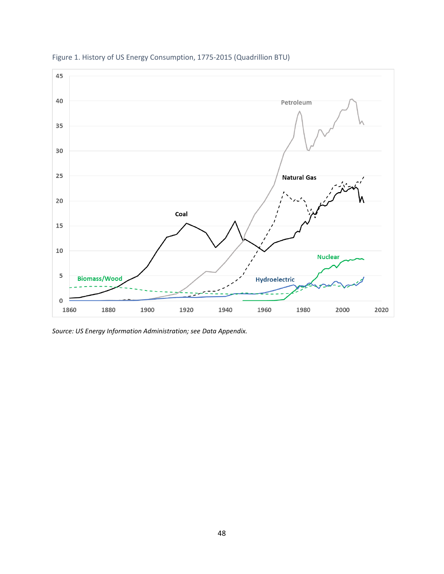

Figure 1. History of US Energy Consumption, 1775-2015 (Quadrillion BTU)

*Source: US Energy Information Administration; see Data Appendix.*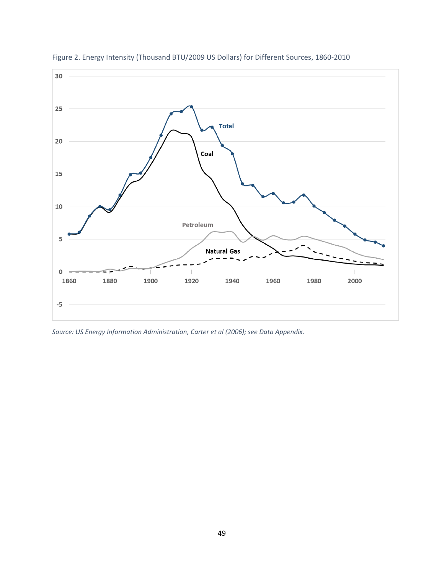

Figure 2. Energy Intensity (Thousand BTU/2009 US Dollars) for Different Sources, 1860-2010

*Source: US Energy Information Administration, Carter et al (2006); see Data Appendix.*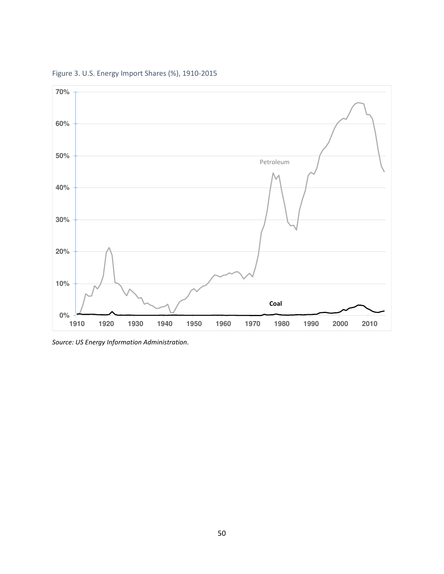

Figure 3. U.S. Energy Import Shares (%), 1910-2015

*Source: US Energy Information Administration.*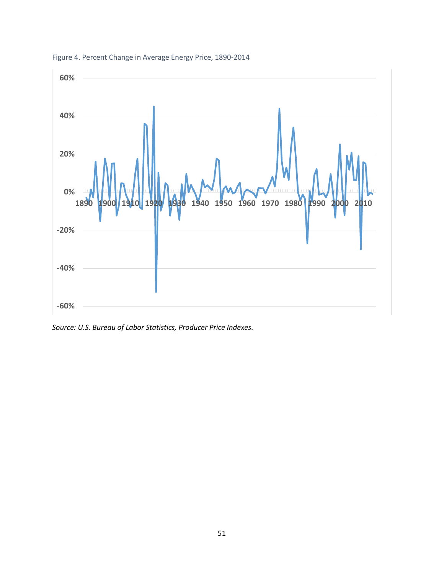

Figure 4. Percent Change in Average Energy Price, 1890-2014

*Source: U.S. Bureau of Labor Statistics, Producer Price Indexes.*